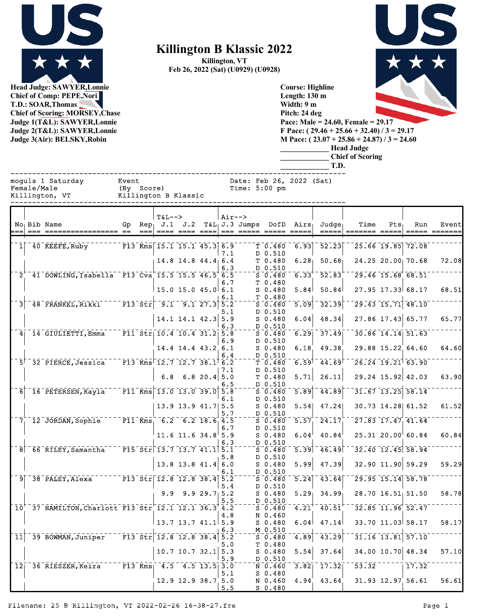

**Head Judge: SAWYER,Lonnie Chief of Comp: PEPE,Nori T.D.: SOAR,Thomas Chief of Scoring: MORSEY,Chase Judge 1(T&L): SAWYER,Lonnie Judge 2(T&L): SAWYER,Lonnie Judge 3(Air): BELSKY,Robin** 

## **Killington B Klassic 2022**

**Killington, VT Feb 26, 2022 (Sat) (U0929) (U0928)**



**Course: Highline Length: 130 m Width: 9 m Pitch: 24 deg Pace: Male = 24.60, Female = 29.17 F Pace: ( 29.46 + 25.66 + 32.40) / 3 = 29.17 M Pace: ( 23.07 + 25.86 + 24.87) / 3 = 24.60 \_\_\_\_\_\_\_\_\_\_\_\_\_ Head Judge \_\_\_\_\_\_\_\_\_\_\_\_\_ Chief of Scoring**

|                |             |                                                           |                      |        |                                                                     |                        |                |            |                                                                             |                     | T.D.                                                                                                                                                                                                                                                                                                                                                                                                                                                                                                                                                                                  |                          |                  |                                              |                  |
|----------------|-------------|-----------------------------------------------------------|----------------------|--------|---------------------------------------------------------------------|------------------------|----------------|------------|-----------------------------------------------------------------------------|---------------------|---------------------------------------------------------------------------------------------------------------------------------------------------------------------------------------------------------------------------------------------------------------------------------------------------------------------------------------------------------------------------------------------------------------------------------------------------------------------------------------------------------------------------------------------------------------------------------------|--------------------------|------------------|----------------------------------------------|------------------|
|                | Female/Male | moguls 1 Saturday<br>Killington, VT                       | Event<br>(By Score)  |        | Killington B Klassic                                                |                        |                |            | Date: Feb 26, 2022 (Sat)<br>Time: $5:00$ pm                                 |                     |                                                                                                                                                                                                                                                                                                                                                                                                                                                                                                                                                                                       |                          |                  |                                              |                  |
|                |             | No <sub>l</sub> Bib Name                                  |                      | $== =$ | <b>T&amp;L--&gt;</b><br>Gp Rep, $J.1$ $J.2$                         |                        |                | $Air--$    | $T&L_1J.3$ Jumps DofD Airs<br><u> ==== ==== ====  === ===== ===== =====</u> |                     | $Judq$ e<br>$\qquad \qquad \overline{\qquad \qquad }=\qquad \qquad \overline{\qquad \qquad }=\qquad \qquad \overline{\qquad \qquad }=\qquad \qquad \overline{\qquad \qquad }=\qquad \overline{\qquad \qquad }=\qquad \qquad \overline{\qquad \qquad }=\qquad \qquad \overline{\qquad \qquad }=\qquad \qquad \overline{\qquad \qquad }=\qquad \overline{\qquad \qquad }=\qquad \qquad \overline{\qquad \qquad }=\qquad \qquad \overline{\qquad \qquad }=\qquad \overline{\qquad \qquad }=\qquad \overline{\qquad \qquad }=\qquad \overline{\qquad \qquad }=\qquad \overline{\qquad \q$ | Time<br>$=$ ====== ===== | Pts <sub>1</sub> | Run<br>$=$ $=$ $=$ $=$                       | Event<br>======= |
|                |             | $1 \vert 40$ KEEFE, Ruby                                  |                      |        | F13 Kms $15.1$ 15.1 45.3 6.9                                        |                        |                |            | $T$ 0.480                                                                   | 6.93                | 52.23                                                                                                                                                                                                                                                                                                                                                                                                                                                                                                                                                                                 |                          |                  | $25.66$ 19.85 72.08                          |                  |
|                |             |                                                           |                      |        |                                                                     | $14.8$ 14.8 44.4 6.4   |                | 7.1<br>6.3 | D 0.510<br>T 0.480<br>D 0.510                                               | 6.28                | 50.68                                                                                                                                                                                                                                                                                                                                                                                                                                                                                                                                                                                 |                          |                  | 24.25 20.00 70.68                            | 72.08            |
|                |             | 2' 41 DOWLING, Isabella F13 Cva 15.5 15.5 46.5 6.5        |                      |        |                                                                     |                        |                | 6.7        | $S_0.480$<br>T 0.480                                                        | $\overline{6.33}$   | $-52.83$                                                                                                                                                                                                                                                                                                                                                                                                                                                                                                                                                                              |                          |                  | $\sqrt{29.46}$ $\sqrt{15.68}$ $\sqrt{68.51}$ |                  |
|                |             |                                                           |                      |        |                                                                     | $15.0$ 15.0 45.0 6.1   |                | 6.1        | $S$ 0.480<br>T 0.480                                                        | 5.84                | 50.84                                                                                                                                                                                                                                                                                                                                                                                                                                                                                                                                                                                 |                          |                  | 27.95 17.33 68.17                            | 68.51            |
| $\overline{3}$ |             | $48$ FRANKEL, Rikki                                       |                      |        | $T = F13 - St - 9.1$ 9.1 27.3 5.2                                   |                        |                | 5.1        | $S$ 0.480<br>D 0.510                                                        | $\overline{5.09}$   | 32.39                                                                                                                                                                                                                                                                                                                                                                                                                                                                                                                                                                                 |                          |                  | $29.43$ 15.71 48.10                          |                  |
|                |             |                                                           |                      |        |                                                                     | $14.1$ 14.1 42.3 5.9   |                | 6.3        | $S$ 0.480<br>D 0.510                                                        | 6.04                | 48.34                                                                                                                                                                                                                                                                                                                                                                                                                                                                                                                                                                                 |                          |                  | 27.86 17.43 65.77                            | 65.77            |
|                |             | 4 14 GIULIETTI, Emma                                      |                      |        | $\overline{F11}$ Str $10.4$ 10.4 31.2 5.8                           | 14.4 14.4 43.2 6.1     |                | 6.9        | S 0.480<br>D 0.510<br>$S$ 0.480                                             | 6.18                | $6.29$ $37.49$<br>49.38                                                                                                                                                                                                                                                                                                                                                                                                                                                                                                                                                               |                          |                  | $30.86$ 14.14 51.63<br>29.88 15.22 64.60     | 64.60            |
|                |             | $5^{\dagger}$ 32 PIERCE, Jessica                          |                      |        | $\sqrt{13}$ Kms $12.7$ 12.7 38.1 6.2                                |                        |                | 6.4        | D 0.510<br>$T_{0.480}$                                                      | 6.59                | 44.69                                                                                                                                                                                                                                                                                                                                                                                                                                                                                                                                                                                 |                          |                  | $\sqrt{26.24}$ $\sqrt{19.21}$ $\sqrt{63.90}$ |                  |
|                |             |                                                           |                      |        | 6.8                                                                 |                        | $6.8$ 20.4 5.0 | 7.1        | D 0.510<br>T 0.480                                                          | 5.71                | 26.11                                                                                                                                                                                                                                                                                                                                                                                                                                                                                                                                                                                 |                          |                  | $29.24$ 15.92 42.03                          | 63.90            |
| 61             |             | 16 PETERSEN, Kayla                                        |                      |        | $-$ F11 Kms 13.0 13.0 39.0 5.8                                      |                        |                | 6.5        | D 0.510<br>S <sub>0.480</sub>                                               | 5.89                | 44.89                                                                                                                                                                                                                                                                                                                                                                                                                                                                                                                                                                                 |                          |                  | $31.67$ $13.25$ $58.14$                      |                  |
|                |             |                                                           |                      |        |                                                                     | 13.9 13.9 $41.7$ 5.5   |                | 6.1<br>5.7 | D 0.510<br>$S$ 0.480<br>D 0.510                                             | 5.54                | 47.24                                                                                                                                                                                                                                                                                                                                                                                                                                                                                                                                                                                 |                          |                  | 30.73 14.28 61.52                            | 61.52            |
|                |             | $71$ $120$ JORDAN, Sophie                                 |                      |        | $F11$ Kms 6.2 6.2 18.6 4.5                                          |                        |                | 6.7        | $S$ 0.480<br>D 0.510                                                        | $5.57^{-}$          | $\overline{24.17}$                                                                                                                                                                                                                                                                                                                                                                                                                                                                                                                                                                    |                          |                  | 27.83 17.47 41.64                            |                  |
|                |             |                                                           |                      |        |                                                                     | 11.6 11.6 34.8 5.9     |                | 6.3        | $S$ 0.480<br>D 0.510                                                        | 6.04                | 40.84                                                                                                                                                                                                                                                                                                                                                                                                                                                                                                                                                                                 |                          |                  | $25.31$ $20.00$ 60.84                        | 60.84            |
|                |             | $8^\circ$ $66^\circ$ RILEY, Samantha                      |                      |        | $\sqrt{15.5}$ $\sqrt{5.7}$ $\sqrt{13.7}$ $\sqrt{41.1}$ $\sqrt{5.1}$ |                        |                | 5.8        | $S_0.480$<br>D 0.510                                                        |                     | $\overline{5.39}$ $\overline{46.49}$                                                                                                                                                                                                                                                                                                                                                                                                                                                                                                                                                  |                          |                  | $32.40$ 12.45 58.94                          |                  |
|                |             |                                                           |                      |        |                                                                     | $13.8$ 13.8 41.4 6.0   |                | 6.1        | $S_0.480$<br>D 0.510                                                        | 5.99                | 47.39                                                                                                                                                                                                                                                                                                                                                                                                                                                                                                                                                                                 |                          |                  | 32.90 11.90 59.29                            | 59.29            |
|                |             | $9$ $38$ $P\overline{ALEY}$ , Alexa                       |                      |        | $T = 13.8 \text{E} \cdot 12.8 \text{E} \cdot 38.4 \text{E}$         | $9.9$ $9.9$ $29.7$ 5.2 |                | 5.4        | $S = 0.480$<br>D 0.510<br>$S_0.480$                                         | $\overline{5.24}$   | $\overline{43.64}$<br>$5.29$ 34.99                                                                                                                                                                                                                                                                                                                                                                                                                                                                                                                                                    |                          |                  | 29.95 15.14 58.78<br>$28.70$ 16.51 51.50     | 58.78            |
|                |             | $10^{+}$ 37 HAMILTON, Charlott F13 Str 12.1 12.1 36.3 4.2 |                      |        |                                                                     |                        |                | 5.5        | D 0.510<br>$S = 0.480$                                                      | $4.21$ <sup>+</sup> | $-40.51$                                                                                                                                                                                                                                                                                                                                                                                                                                                                                                                                                                              |                          |                  | $32.85$ $11.96$ $52.47$                      |                  |
|                |             |                                                           |                      |        |                                                                     | $13.7$ 13.7 41.1 5.9   |                | 4.8        | N 0.460<br>$S_0.480$                                                        | 6.04                | 47.14                                                                                                                                                                                                                                                                                                                                                                                                                                                                                                                                                                                 |                          |                  | 33.70 11.03 58.17                            | 58.17            |
| 11             |             | 39 BOWMAN, Juniper                                        |                      |        | $\bar{F}$ 13 Str 12.8 12.8 38.4 5.2                                 |                        |                | 6.3        | M 0.510<br>$S^-0.480$                                                       | $\left[4.89\right]$ | $\overline{43.29}$                                                                                                                                                                                                                                                                                                                                                                                                                                                                                                                                                                    |                          |                  | $31.16$ $13.81$ $57.10$                      |                  |
|                |             |                                                           |                      |        |                                                                     | $10.7$ 10.7 32.1 5.3   |                | 5.0<br>5.9 | T 0.480<br>$S_0.480$<br>D 0.510                                             | 5.54                | 37.64                                                                                                                                                                                                                                                                                                                                                                                                                                                                                                                                                                                 |                          |                  | 34.00 10.70 48.34                            | 57.10            |
|                |             | 12 36 RIESZER, Keira                                      | $\overline{F13}$ Kms |        |                                                                     | $-4.5 - 4.5$ 13.5 3.0  |                | 5.1        | $\overline{N}$ $\overline{0.460}$<br>$S_0.480$                              | 3.82                | 17.32                                                                                                                                                                                                                                                                                                                                                                                                                                                                                                                                                                                 | $\overline{53.32}$       |                  | $\overline{17.32}$                           |                  |
|                |             |                                                           |                      |        |                                                                     | $12.9$ 12.9 38.7 5.0   |                | 5.5        | N 0.460<br>$S$ 0.480                                                        | 4.94                | 43.64                                                                                                                                                                                                                                                                                                                                                                                                                                                                                                                                                                                 |                          |                  | 31.93 12.97 56.61                            | 56.61            |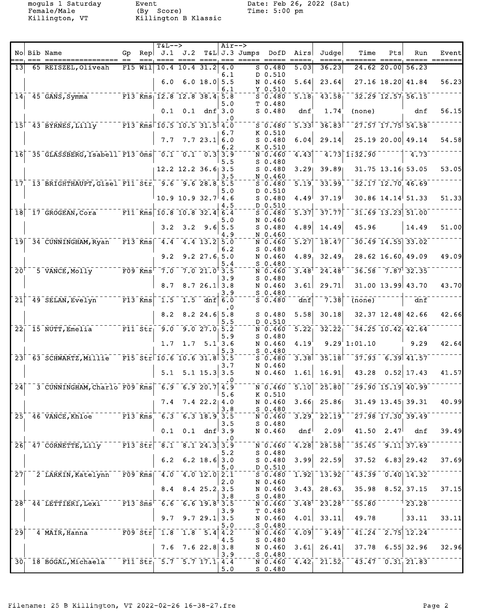Female/Male (By Score) Time: 5:00 pm Killington, VT Killington B Klassic

moguls 1 Saturday bit between Event Date: Feb 26, 2022 (Sat)

|                                    |                                                                                                                                                                                                                                  |    |            | $T&L--\geq$                        |                                      |                    | $Air-->$  |                    |                                                             |                     |                                                                       |                                                                             |                   |                                              |                                                                                                                  |
|------------------------------------|----------------------------------------------------------------------------------------------------------------------------------------------------------------------------------------------------------------------------------|----|------------|------------------------------------|--------------------------------------|--------------------|-----------|--------------------|-------------------------------------------------------------|---------------------|-----------------------------------------------------------------------|-----------------------------------------------------------------------------|-------------------|----------------------------------------------|------------------------------------------------------------------------------------------------------------------|
|                                    | No Bib Name                                                                                                                                                                                                                      | Gp |            | Rep  J.1 J.2                       |                                      |                    |           | T&L J.3 Jumps DofD |                                                             | Airs<br>=====       | Judge                                                                 | Time                                                                        | Pts               | Run                                          | Event<br>$\qquad \qquad \doteq\qquad \qquad \qquad \doteq\qquad \qquad \qquad \qquad \doteq\qquad \qquad \qquad$ |
| 13 <sup>l</sup>                    | 65 REISZEL, Oliveah                                                                                                                                                                                                              |    | $F15$ Will |                                    | $10.4$ 10.4 31.2                     |                    | 4.0       |                    | $S$ 0.480                                                   | 5.03                | 36.23                                                                 |                                                                             | 24.62 20.00 56.23 |                                              |                                                                                                                  |
|                                    |                                                                                                                                                                                                                                  |    |            |                                    |                                      |                    | 6.1       |                    | D 0.510                                                     |                     | 23.64                                                                 |                                                                             |                   | 27.16 18.20 41.84                            | 56.23                                                                                                            |
|                                    |                                                                                                                                                                                                                                  |    |            |                                    | $6.0 \quad 6.0 \quad 18.0 \quad 5.5$ |                    | 6.1       |                    | N 0.460<br>$Y$ 0.510                                        | 5.64                |                                                                       |                                                                             |                   |                                              |                                                                                                                  |
|                                    | $14$   $45$ GANS, Symma F13 Kms   12.8 12.8 38.4   5.8                                                                                                                                                                           |    |            |                                    |                                      |                    |           |                    | $S$ 0.480                                                   | $\overline{5.18}$   | 43.58                                                                 |                                                                             |                   | $32.29$ $12.57$ $56.15$                      |                                                                                                                  |
|                                    |                                                                                                                                                                                                                                  |    |            |                                    | $0.1$ $0.1$ dnf $3.0$                |                    | 5.0       |                    | T 0.480<br>$S$ 0.480                                        | dnf                 | 1.74                                                                  | (none)                                                                      |                   | dnf                                          | 56.15                                                                                                            |
|                                    |                                                                                                                                                                                                                                  |    |            |                                    |                                      |                    | . 0       |                    |                                                             |                     |                                                                       |                                                                             |                   |                                              |                                                                                                                  |
|                                    | $15$ <sup>-</sup> 43 BYRNES, Lilly $-$ - - - - F13 Kms 10.5 10.5 31.5 4.0                                                                                                                                                        |    |            |                                    |                                      |                    |           |                    | $S$ 0.480<br>K 0.510                                        | $5.33$ <sup>-</sup> | 36.83                                                                 |                                                                             |                   | $\sqrt{27.57}$ $\sqrt{17.75}$ $\sqrt{54.58}$ |                                                                                                                  |
|                                    |                                                                                                                                                                                                                                  |    |            |                                    | $7.7$ $7.7$ $23.1$ 6.0               |                    | 6.7       |                    | $S_0.480$                                                   | 6.04                | 29.14                                                                 |                                                                             |                   | 25.19 20.00 49.14                            | 54.58                                                                                                            |
|                                    |                                                                                                                                                                                                                                  |    |            |                                    |                                      |                    | 6.2       |                    | K 0.510                                                     |                     |                                                                       |                                                                             |                   |                                              |                                                                                                                  |
|                                    | $16$ <sup>-35</sup> GLASSBERG, Isabell F13 Oms 0.1 0.1 0.3 3.9                                                                                                                                                                   |    |            |                                    |                                      |                    | 5.5       |                    | N 0.460<br>$S$ 0.480                                        | 4.43                |                                                                       | $4.73$ $1.32.90$                                                            |                   | 4.73                                         |                                                                                                                  |
|                                    |                                                                                                                                                                                                                                  |    |            |                                    | $12.2$ $12.2$ $36.6$ 3.5             |                    |           |                    | $S$ 0.480                                                   | 3.291               | 39.89                                                                 |                                                                             |                   | 31.75 13.16 53.05                            | 53.05                                                                                                            |
|                                    | 17 13 BRIGHTHAUPT, Gisel F11 Str 9.6 9.6 28.8 5.5                                                                                                                                                                                |    |            |                                    |                                      |                    | 3.5       |                    | N 0.460<br>$S$ 0.480                                        | 5.19                | 33.99                                                                 |                                                                             |                   | 32.17 12.70 46.69                            |                                                                                                                  |
|                                    |                                                                                                                                                                                                                                  |    |            |                                    |                                      |                    | 5.0       |                    | D 0.510                                                     |                     |                                                                       |                                                                             |                   |                                              |                                                                                                                  |
|                                    |                                                                                                                                                                                                                                  |    |            |                                    | $10.9$ 10.9 32.7 4.6                 |                    |           |                    | $S$ 0.480                                                   | 4.49                | 37.19                                                                 |                                                                             |                   | $30.86$ 14.14 51.33                          | 51.33                                                                                                            |
|                                    | 18 17 GROGEAN, Cora F11 Kms 10.8 10.8 32.4 6.4                                                                                                                                                                                   |    |            |                                    |                                      |                    | 4.5       |                    | D 0.510<br>$S_0.480$                                        | 5.37                | 37.77                                                                 |                                                                             |                   | 31.69 13.23 51.00                            |                                                                                                                  |
|                                    |                                                                                                                                                                                                                                  |    |            |                                    |                                      |                    | 5.0       |                    | N 0.460                                                     |                     |                                                                       |                                                                             |                   |                                              |                                                                                                                  |
|                                    |                                                                                                                                                                                                                                  |    |            |                                    | $3.2$ $3.2$ $9.6$ 5.5                |                    | 4.9       |                    | $S$ 0.480<br>N 0.460                                        | 4.89                | 14.49                                                                 | 45.96                                                                       |                   | 14.49                                        | 51.00                                                                                                            |
|                                    | 19 34 CUNNINGHAM, Ryan F13 Kms 4.4 4.4 13.2 5.0                                                                                                                                                                                  |    |            |                                    |                                      |                    |           |                    | $N$ 0.460                                                   | 5.27                | $\overline{18.47}$                                                    |                                                                             |                   | $30.49$ 14.55 33.02                          |                                                                                                                  |
|                                    |                                                                                                                                                                                                                                  |    |            |                                    |                                      |                    | 6.2       |                    | $S$ 0.480                                                   |                     |                                                                       |                                                                             |                   |                                              |                                                                                                                  |
|                                    |                                                                                                                                                                                                                                  |    |            | 9.2                                |                                      | $9.2$ $27.6$ , 5.0 | 5.4       |                    | N 0.460<br>$S_0.480$                                        | 4.89                | 32.49                                                                 |                                                                             |                   | 28.62 16.60 49.09                            | 49.09                                                                                                            |
| $\bar{2}\bar{0}^{\bar{\intercal}}$ | $-5$ VANCE, Molly $F09$ Kms                                                                                                                                                                                                      |    |            |                                    | 7.077.021.073.5                      |                    |           |                    | N 0.460                                                     | 3.48                | 24.48                                                                 |                                                                             |                   | $36.58 - 7.87$ 32.35                         |                                                                                                                  |
|                                    |                                                                                                                                                                                                                                  |    |            | 8.7                                |                                      | 8.726.13.8         | 3.9       |                    | $S$ 0.480<br>N 0.460                                        | 3.61                | 29.71                                                                 |                                                                             |                   | $31.00$ 13.99 43.70                          | 43.70                                                                                                            |
|                                    |                                                                                                                                                                                                                                  |    |            |                                    |                                      |                    | 3.9       |                    | $S$ 0.480                                                   |                     |                                                                       |                                                                             |                   |                                              |                                                                                                                  |
| $\bar{2}\bar{1}$                   | $-49$ SELAN, Evelyn $   F13$ Kms                                                                                                                                                                                                 |    |            | $\bar{1.5}$                        |                                      | $-1.5$ dnf 6.0     |           |                    | $S_0.480$                                                   | dnf                 | 7.38                                                                  | (none)                                                                      |                   | $\bar{d}n\bar{f}$                            |                                                                                                                  |
|                                    |                                                                                                                                                                                                                                  |    |            |                                    | $8.2 \quad 8.2 \quad 24.6 \quad 5.8$ |                    | . 0       |                    | $S$ 0.480                                                   | 5.58                | 30.18                                                                 |                                                                             |                   | $32.37$ 12.48 42.66                          | 42.66                                                                                                            |
|                                    |                                                                                                                                                                                                                                  |    |            |                                    |                                      |                    | 5.5       |                    | D 0.510                                                     |                     |                                                                       |                                                                             |                   |                                              |                                                                                                                  |
|                                    | $22^{--}_115$ NUTT, Emelia $F_1$ $F_1$ $F_2$ $F_3$ $F_4$ $F_5$ $F_6$ $F_7$ $F_8$ $F_9$ $F_9$ $F_9$ $F_9$ $F_9$ $F_9$ $F_9$ $F_9$ $F_9$ $F_9$ $F_9$ $F_9$ $F_9$ $F_9$ $F_9$ $F_9$ $F_9$ $F_9$ $F_9$ $F_9$ $F_9$ $F_9$ $F_9$ $F_9$ |    |            |                                    |                                      |                    | 5.9       |                    | $N = 0.460$<br>$S$ 0.480                                    | $5.22_1$            | 32.22                                                                 |                                                                             |                   | $34.25$ 10.42 42.64                          |                                                                                                                  |
|                                    |                                                                                                                                                                                                                                  |    |            |                                    | $1.7$ 1.7 5.1 3.6                    |                    |           |                    | N 0.460                                                     | 4.19                |                                                                       | 9.29'1:01.10                                                                |                   | 9.29                                         | 42.64                                                                                                            |
|                                    | $23^{\dagger}$ 63 SCHWARTZ, Millie F15 Str 10.6 10.6 31.8 3.5                                                                                                                                                                    |    |            |                                    |                                      |                    | 5.3       |                    | $S_0.480$<br>$S$ 0.480                                      | 3.38                | 35.18                                                                 |                                                                             |                   | $-37.93 - 6.39$ 41.57                        |                                                                                                                  |
|                                    |                                                                                                                                                                                                                                  |    |            |                                    |                                      |                    | 3.7       |                    | N 0.460                                                     |                     |                                                                       |                                                                             |                   |                                              |                                                                                                                  |
|                                    |                                                                                                                                                                                                                                  |    |            |                                    | $5.1$ $5.1$ $15.3$ $3.5$             |                    |           |                    | N 0.460                                                     | 1.61                | 16.91                                                                 |                                                                             |                   | $43.28$ 0.52 17.43                           | 41.57                                                                                                            |
| ⊺24⊺                               | 3 CUNNINGHAM, Charlo F09 Kms 6.9 6.9 20.7 4.9                                                                                                                                                                                    |    |            |                                    |                                      |                    |           |                    |                                                             |                     | $\sqrt{N}$ $\sqrt{0.460}$ $\sqrt{5.10}$ $\sqrt{25.80}$ $\sqrt{0.460}$ |                                                                             |                   | $\sqrt{29.90}$ $\sqrt{15.19}$ $\sqrt{40.99}$ |                                                                                                                  |
|                                    |                                                                                                                                                                                                                                  |    |            |                                    |                                      |                    | 5.6       |                    | K 0.510                                                     |                     |                                                                       |                                                                             |                   |                                              |                                                                                                                  |
|                                    |                                                                                                                                                                                                                                  |    |            |                                    | $7.4$ $7.4$ $22.2$ $4.0$             |                    | 3.8       |                    | N 0.460<br>$S$ 0.480                                        |                     | $3.66$ $25.86$                                                        |                                                                             |                   | $31.49$ $13.45$ 39.31                        | 40.99                                                                                                            |
|                                    | $25 - 46$ VANCE, Khloe $-7 - 13$ Kms 6.3 6.3 18.9 3.5                                                                                                                                                                            |    |            |                                    |                                      |                    |           |                    | $-\overline{N}$ $\overline{0}$ $\overline{.}4\overline{60}$ |                     |                                                                       | $3.29$ <sup>+</sup> $22.19$ <sup>+<math>-27.98</math></sup> 17.30 39.49     |                   |                                              |                                                                                                                  |
|                                    |                                                                                                                                                                                                                                  |    |            |                                    | $0.1$ 0.1 dnf 3.9                    |                    | 3.5       |                    | $S$ 0.480<br>N 0.460                                        | dnf                 | 2.09 <sup>1</sup>                                                     |                                                                             |                   | $41.50 \t2.47$ dnf                           | 39.49                                                                                                            |
|                                    |                                                                                                                                                                                                                                  |    |            |                                    |                                      |                    | $\cdot$ 0 |                    |                                                             |                     |                                                                       |                                                                             |                   |                                              |                                                                                                                  |
|                                    | 26 47 CORNETTE, Lily F13 Str 8.1 8.1 24.3 3.9                                                                                                                                                                                    |    |            |                                    |                                      |                    |           |                    | N0.460                                                      |                     | $4.28$ $28.58$                                                        |                                                                             |                   | $-35.45 - 9.11$ 37.69                        |                                                                                                                  |
|                                    |                                                                                                                                                                                                                                  |    |            |                                    | $6.2 \quad 6.2 \quad 18.6 \mid 3.0$  |                    | 5.2       |                    | $S_0.480$<br>$S$ 0.480                                      | 3.99                | 22.59                                                                 |                                                                             |                   | $37.52$ 6.83 29.42                           | 37.69                                                                                                            |
|                                    |                                                                                                                                                                                                                                  |    |            |                                    |                                      |                    | 5.0       |                    | D 0.510                                                     |                     |                                                                       |                                                                             |                   |                                              |                                                                                                                  |
|                                    | 27 2 LARKIN, Katelynn F09 Kms 4.0 4.0 12.0 2.1                                                                                                                                                                                   |    |            |                                    |                                      |                    | 2.0       |                    | $S$ 0.480<br>N 0.460                                        |                     | $\overline{1.92}$ $\overline{13.92}$                                  |                                                                             |                   | $\overline{43.39}$ 0.40 14.32                |                                                                                                                  |
|                                    |                                                                                                                                                                                                                                  |    |            |                                    | $8.4$ $8.4$ $25.2$ 3.5               |                    |           |                    | N 0.460                                                     |                     | $3.43$ , $28.63$                                                      |                                                                             |                   | $35.98$ $8.52$ 37.15                         | 37.15                                                                                                            |
|                                    | $28^{\dagger}$ 44 LETTIERI, Lexi F13 Sms 6.6 6.6 19.8 3.5                                                                                                                                                                        |    |            |                                    |                                      |                    | 3.8       |                    | $S$ 0.480                                                   |                     | $3.48$ <sup>1</sup> $23.28$ <sup>F</sup>                              | $55.80$ <sup>-</sup>                                                        |                   |                                              |                                                                                                                  |
|                                    |                                                                                                                                                                                                                                  |    |            |                                    |                                      |                    | 3.9       |                    | N 0.460<br>T 0.480                                          |                     |                                                                       |                                                                             |                   |                                              |                                                                                                                  |
|                                    |                                                                                                                                                                                                                                  |    |            |                                    | $9.7$ $9.7$ $29.1$ 3.5               |                    |           |                    | N 0.460                                                     | 4.01                | 33.11                                                                 | 49.78                                                                       |                   | 33.11                                        | 33.11                                                                                                            |
| $\overline{29}$                    | 4 MAIR, Hanna                                                                                                                                                                                                                    |    |            | $F09^ Str$ $T.8$ $T.8$ $5.4$ $4.2$ |                                      |                    | 5.0       |                    | $S$ 0.480<br>N 0.460                                        | 4.09                | $\overline{9.49}$                                                     |                                                                             |                   | $41.24 - 2.75$ 12.24                         |                                                                                                                  |
|                                    |                                                                                                                                                                                                                                  |    |            |                                    |                                      |                    | 4.5       |                    | $S_0.480$                                                   |                     |                                                                       |                                                                             |                   |                                              |                                                                                                                  |
|                                    |                                                                                                                                                                                                                                  |    |            | 7.6                                |                                      | 7.622.83.8         | 3.9       |                    | N 0.460<br>$S_0.480$                                        | 3.61                | 26.41                                                                 |                                                                             |                   | $37.78$ 6.55 32.96                           | 32.96                                                                                                            |
|                                    | 30 18 BOGAL, Michaela F11 Str 5.7 5.7 17.1 4.4                                                                                                                                                                                   |    |            |                                    |                                      |                    |           |                    |                                                             |                     |                                                                       | $\overline{N}$ 0.460 $\overline{4.42}$ 21.52 $\overline{4.3.47}$ 0.31 21.83 |                   |                                              |                                                                                                                  |
|                                    |                                                                                                                                                                                                                                  |    |            |                                    |                                      |                    | 5.0       |                    | <u>S 0.480</u>                                              |                     |                                                                       |                                                                             |                   |                                              |                                                                                                                  |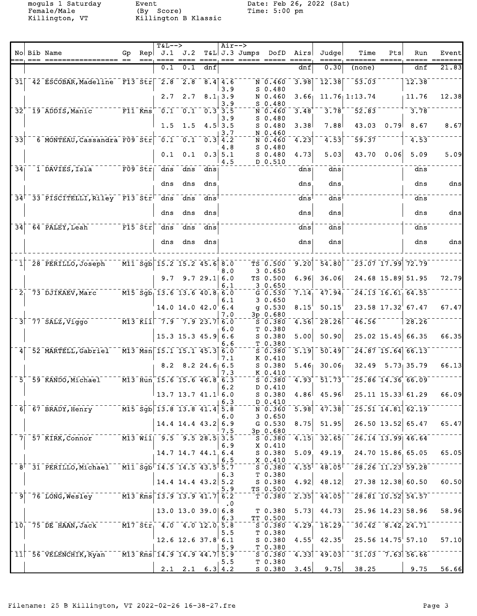Female/Male (By Score) Time: 5:00 pm Killington, VT Killington B Klassic

moguls 1 Saturday bit between Event Date: Feb 26, 2022 (Sat)

| No Bib Name<br>J.2<br>$T&L$ J.3 Jumps<br>DofD<br>Airs<br>Judge<br>Time<br>Gp<br>$\text{Rep}$ J.1<br>Pts<br>Run<br>Event<br>$== =$<br>=== ===== =====<br>$==$<br>$== == =$<br>$= = = =$<br>=======<br>0.1<br>21.83<br>0.30<br>0.1<br>dnf<br>dnf<br>dnf<br>(none)<br>$-42$ ESCOBAR, Madeline $-F13$ Str $-2.8$<br>$\sqrt{2.8}$ $\sqrt{8.4}$ $\sqrt{4.6}$<br>53.03<br>3.98<br>$\overline{1}\overline{2}\overline{.}\overline{3}\overline{8}$<br>$\overline{12.38}$<br>31<br>N 0.460<br>3.9<br>$S_0.480$<br>N 0.460<br>$11.76$ 1:13.74<br>12.38<br>2.7<br>2.7<br>8.1, 3.9<br>3.66 <sub>1</sub><br>11.76<br>$S$ 0.480<br>3.9<br>$\overline{F11}$ $\overline{Kms}$<br>$\bar{0.1}$<br>$0.1$ <sup>-1</sup><br>3.48<br>3.78<br>52.83<br>3.78<br>$\bar{3}\bar{2}$<br><sup>-</sup> 19 ADDIS, Manic<br>$0.3^{+}3.5$<br>N 0.460<br>$S$ 0.480<br>3.9<br>1.5<br>1.5<br>$4.5$ 3.5<br>7.88<br>43.03<br>0.79<br>8.67<br>$S$ 0.480<br>3.38<br>8.67<br>N 0.460<br>3.7<br>$\overline{33}$<br>59.37<br>6 MONTEAU, Cassandra F09 Str 0.1<br>4.53<br>4.53<br>0.1<br>$N = 0.460$<br>4.23<br>0.3<br>4.2<br>$S$ 0.480<br>4.8<br>43.70<br>0.1<br>$0.3$ 5.1<br>4.73<br>5.03<br>0.06<br>5.09<br>0.1<br>$S$ 0.480<br>4.5<br>D 0.510<br>$\overline{34}$<br>$\overline{1}$ DAVIES, Isla $\overline{1}$ F09 Str<br>dns<br>dns<br>dns<br>dns<br>dns<br>dns<br>dns<br>dns<br>dns<br>dns<br>dns<br>dns<br>34 <sup><math>-</math></sup> 33 <sup>-</sup> PISCITELLI, Riley F13 Str <sup>-</sup> dns<br>dns<br>dns<br>dns<br>dns<br>dns<br>dns<br>dns<br>dns<br>dns<br>dns<br>dns<br>$\overline{F15}$ str<br>$\overline{34}$<br>64 PALEY, Leah<br>$\frac{1}{\text{dns}}$<br>$\overline{dns}$<br>$\overline{dns}$<br>dns<br>dns<br>dns<br>dns<br>$ {\rm dns} $<br>dns<br>dns<br>dns<br>dns<br>$\bar{M11}$ $\bar{S}g\bar{b}$ 15.2 15.2 45.6 8.0<br>$-54.80$<br>$23.07$ $17.99$ $72.79$<br>28 PERILLO, Joseph<br>$\overline{9.20}$<br>TS 0.500<br>30.650<br>8.0<br>9.729.16.0<br>TS 0.500<br>6.96<br>36.06<br>24.68 15.89 51.95<br>9.7<br>30.650<br>6.1<br>$\sqrt{M15}$ $\bar{Sg}$ $\bar{b}$ $\bar{13.6}$ $\bar{13.6}$ $\bar{40.8}$ $\bar{6.0}$<br>$-47.94$<br>7.14 <sub>1</sub><br>$\overline{24.13}$ $\overline{16.61}$ $\overline{64.55}$<br>$21$ 73 DJIKAEV, Marc<br>$G$ 0.530<br>30.650<br>6.1<br>$14.0$ $14.0$ $42.0$ $6.4$<br>$q$ 0.530<br>50.15<br>23.58 17.32 67.47<br>8.15'<br>3p 0.680<br>7.0<br>$-4.56$ $-28.26$<br>$\bar{m}$ 13 $\bar{\kappa}$ ii $\bar{\kappa}$ 7.9 $\bar{\kappa}$ 7.9 23.7 6.0<br>46.56<br>728.26<br>$377$ SALZ, Viggo<br>50.380<br>T 0.380<br>6.0<br>$15.3$ 15.3 45.9<br>$S$ 0.380<br>5.00<br>50.90<br>$25.02$ 15.45 66.35<br>6.6<br>6.6<br>T 0.380<br>$\overline{M13}$ $\overline{Msn}$ $\overline{15.1}$ $\overline{15.1}$ $\overline{45.3}$ $\overline{6.0}$<br>$\overline{5.19}$<br>50.49<br>$24.87$ 15.64 66.13<br>52 MARTELL, Gabriel<br>S 0.380<br>7.1<br>K 0.410<br>30.06<br>8.2<br>$8.2$ 24.6 6.5<br>$S$ 0.380<br>5.46<br>32.49<br>$5.73$ 35.79<br>7.3<br>K 0.410<br>$\sqrt{13}$ Hun 15.6 15.6 46.8 6.3<br>$\overline{25.86}$ $\overline{14.36}$ $\overline{66.09}$<br>59 KANDO, Michael<br>51.73<br>51<br>$S$ 0.380<br>4.93<br>6.2<br>D 0.410<br>$25.11$ 15.33 61.29<br>$13.7$ 13.7 41.1 6.0<br>$4.86$ $45.96$<br>$S_0.380$<br>6.3<br>D 0.410<br>$6^-$ 67 BRADY, Henry $M15$ Sgb 13.8 13.8 41.4 5.8<br>$\sqrt{25.51}$ $\sqrt{14.81}$ $\sqrt{62.19}$<br>$\overline{5.98}$ $\overline{47.38}$<br>N 0.360<br>30.650<br>6.0<br>$14.4$ 14.4 43.2 6.9<br>$8.75$ 51.95<br>$26.50$ 13.52 65.47<br>G 0.530<br>3p 0.680<br>7.5<br>7 57 KIRK, Connor M13 Will 9.5 9.5 28.5 3.5<br>$\overline{S}$ 0.380 4.15 32.65 26.14 13.99 46.64<br>6.9<br>X 0.410<br>14.7 14.7 44.1 6.4<br>$5.09$ 49.19<br>24.70 15.86 65.05<br>S 0.380<br>X 0.410<br>6.5<br>$^{\top}$ 8 <sup><math>\top</math></sup> 31 PERILLO,Michael M11 Sgb $^{\top}$ 14.5 14.5 43.5 $^{\dagger}$ 5.7<br>$-5.380$ 4.55 4.63 $-28.26$ 11.23 59.28<br>6.3<br>T 0.380<br>$14.4$ 14.4 43.2 5.2<br>$27.38$ 12.38 60.50<br>S 0.380<br>4.92<br>48.12<br>TS 0.500<br>5.9<br>$9 - 76$ LONG, Wesley $M3$ Kms 13.9 13.9 41.7 6.2<br>$\sqrt{28.81}$ 10.52 54.57<br>$\overline{2.35}$ $\overline{44.05}$<br>$-\bar{\tau}$ 0.380<br>. 0<br>$13.0$ 13.0 39.0 6.8<br>5.73<br>44.73 25.96 14.23 58.96<br>T 0.380<br>6.3<br>TT 0.500<br>$10^{17}$ 75 DE HAAN, Jack $10^{17}$ Str <sup>1</sup> 4.0 $4.0$ $12.0$ <sup>1</sup> 5.8<br>$-5.0.380$ $-4.29$ $16.29$ $-30.42$ $8.42$ $24.71$<br>T 0.380<br>5.5<br>$4.55^{\dagger}$ $42.35^{\dagger}$<br>$25.56$ $14.75$ $57.10$<br>$12.6$ 12.6 37.8 6.1<br>S 0.380<br>$T_{0.380}$<br>5.9<br>$50.380$ $4.33$ $49.03$ $-31.03$ $7.63$ $56.66$<br>$11$ <sup>-</sup> 56 VELENCHIK, Ryan M13 Kms 14.9 14.9 44.7 5.9<br>T <sub>0.380</sub><br>5.5<br>$S$ 0.380 3.45 9.75 38.25<br>$2.1$ $2.1$ $6.3$ $4.2$ |  |  | $T&L-->$ |  | $Air--$ |  |  |  |  |
|-------------------------------------------------------------------------------------------------------------------------------------------------------------------------------------------------------------------------------------------------------------------------------------------------------------------------------------------------------------------------------------------------------------------------------------------------------------------------------------------------------------------------------------------------------------------------------------------------------------------------------------------------------------------------------------------------------------------------------------------------------------------------------------------------------------------------------------------------------------------------------------------------------------------------------------------------------------------------------------------------------------------------------------------------------------------------------------------------------------------------------------------------------------------------------------------------------------------------------------------------------------------------------------------------------------------------------------------------------------------------------------------------------------------------------------------------------------------------------------------------------------------------------------------------------------------------------------------------------------------------------------------------------------------------------------------------------------------------------------------------------------------------------------------------------------------------------------------------------------------------------------------------------------------------------------------------------------------------------------------------------------------------------------------------------------------------------------------------------------------------------------------------------------------------------------------------------------------------------------------------------------------------------------------------------------------------------------------------------------------------------------------------------------------------------------------------------------------------------------------------------------------------------------------------------------------------------------------------------------------------------------------------------------------------------------------------------------------------------------------------------------------------------------------------------------------------------------------------------------------------------------------------------------------------------------------------------------------------------------------------------------------------------------------------------------------------------------------------------------------------------------------------------------------------------------------------------------------------------------------------------------------------------------------------------------------------------------------------------------------------------------------------------------------------------------------------------------------------------------------------------------------------------------------------------------------------------------------------------------------------------------------------------------------------------------------------------------------------------------------------------------------------------------------------------------------------------------------------------------------------------------------------------------------------------------------------------------------------------------------------------------------------------------------------------------------------------------------------------------------------------------------------------------------------------------------------------------------------------------------------------------------------------------------------------------------------------------------------------------------------------------------------------------------------------------------------------------------------------------------------------------------------------------------------------------------------------------------------------------------------------------------------------------------------------------------------------------------------------------------------------------------------|--|--|----------|--|---------|--|--|--|--|
|                                                                                                                                                                                                                                                                                                                                                                                                                                                                                                                                                                                                                                                                                                                                                                                                                                                                                                                                                                                                                                                                                                                                                                                                                                                                                                                                                                                                                                                                                                                                                                                                                                                                                                                                                                                                                                                                                                                                                                                                                                                                                                                                                                                                                                                                                                                                                                                                                                                                                                                                                                                                                                                                                                                                                                                                                                                                                                                                                                                                                                                                                                                                                                                                                                                                                                                                                                                                                                                                                                                                                                                                                                                                                                                                                                                                                                                                                                                                                                                                                                                                                                                                                                                                                                                                                                                                                                                                                                                                                                                                                                                                                                                                                                                                                                         |  |  |          |  |         |  |  |  |  |
|                                                                                                                                                                                                                                                                                                                                                                                                                                                                                                                                                                                                                                                                                                                                                                                                                                                                                                                                                                                                                                                                                                                                                                                                                                                                                                                                                                                                                                                                                                                                                                                                                                                                                                                                                                                                                                                                                                                                                                                                                                                                                                                                                                                                                                                                                                                                                                                                                                                                                                                                                                                                                                                                                                                                                                                                                                                                                                                                                                                                                                                                                                                                                                                                                                                                                                                                                                                                                                                                                                                                                                                                                                                                                                                                                                                                                                                                                                                                                                                                                                                                                                                                                                                                                                                                                                                                                                                                                                                                                                                                                                                                                                                                                                                                                                         |  |  |          |  |         |  |  |  |  |
|                                                                                                                                                                                                                                                                                                                                                                                                                                                                                                                                                                                                                                                                                                                                                                                                                                                                                                                                                                                                                                                                                                                                                                                                                                                                                                                                                                                                                                                                                                                                                                                                                                                                                                                                                                                                                                                                                                                                                                                                                                                                                                                                                                                                                                                                                                                                                                                                                                                                                                                                                                                                                                                                                                                                                                                                                                                                                                                                                                                                                                                                                                                                                                                                                                                                                                                                                                                                                                                                                                                                                                                                                                                                                                                                                                                                                                                                                                                                                                                                                                                                                                                                                                                                                                                                                                                                                                                                                                                                                                                                                                                                                                                                                                                                                                         |  |  |          |  |         |  |  |  |  |
|                                                                                                                                                                                                                                                                                                                                                                                                                                                                                                                                                                                                                                                                                                                                                                                                                                                                                                                                                                                                                                                                                                                                                                                                                                                                                                                                                                                                                                                                                                                                                                                                                                                                                                                                                                                                                                                                                                                                                                                                                                                                                                                                                                                                                                                                                                                                                                                                                                                                                                                                                                                                                                                                                                                                                                                                                                                                                                                                                                                                                                                                                                                                                                                                                                                                                                                                                                                                                                                                                                                                                                                                                                                                                                                                                                                                                                                                                                                                                                                                                                                                                                                                                                                                                                                                                                                                                                                                                                                                                                                                                                                                                                                                                                                                                                         |  |  |          |  |         |  |  |  |  |
|                                                                                                                                                                                                                                                                                                                                                                                                                                                                                                                                                                                                                                                                                                                                                                                                                                                                                                                                                                                                                                                                                                                                                                                                                                                                                                                                                                                                                                                                                                                                                                                                                                                                                                                                                                                                                                                                                                                                                                                                                                                                                                                                                                                                                                                                                                                                                                                                                                                                                                                                                                                                                                                                                                                                                                                                                                                                                                                                                                                                                                                                                                                                                                                                                                                                                                                                                                                                                                                                                                                                                                                                                                                                                                                                                                                                                                                                                                                                                                                                                                                                                                                                                                                                                                                                                                                                                                                                                                                                                                                                                                                                                                                                                                                                                                         |  |  |          |  |         |  |  |  |  |
|                                                                                                                                                                                                                                                                                                                                                                                                                                                                                                                                                                                                                                                                                                                                                                                                                                                                                                                                                                                                                                                                                                                                                                                                                                                                                                                                                                                                                                                                                                                                                                                                                                                                                                                                                                                                                                                                                                                                                                                                                                                                                                                                                                                                                                                                                                                                                                                                                                                                                                                                                                                                                                                                                                                                                                                                                                                                                                                                                                                                                                                                                                                                                                                                                                                                                                                                                                                                                                                                                                                                                                                                                                                                                                                                                                                                                                                                                                                                                                                                                                                                                                                                                                                                                                                                                                                                                                                                                                                                                                                                                                                                                                                                                                                                                                         |  |  |          |  |         |  |  |  |  |
|                                                                                                                                                                                                                                                                                                                                                                                                                                                                                                                                                                                                                                                                                                                                                                                                                                                                                                                                                                                                                                                                                                                                                                                                                                                                                                                                                                                                                                                                                                                                                                                                                                                                                                                                                                                                                                                                                                                                                                                                                                                                                                                                                                                                                                                                                                                                                                                                                                                                                                                                                                                                                                                                                                                                                                                                                                                                                                                                                                                                                                                                                                                                                                                                                                                                                                                                                                                                                                                                                                                                                                                                                                                                                                                                                                                                                                                                                                                                                                                                                                                                                                                                                                                                                                                                                                                                                                                                                                                                                                                                                                                                                                                                                                                                                                         |  |  |          |  |         |  |  |  |  |
| 5.09<br>dns<br>dns<br>dns<br>72.79<br>67.47<br>66.35<br>66.13<br>66.09<br>65.47<br>65.05<br>60.50<br>58.96<br>57.10<br>9.75 56.66                                                                                                                                                                                                                                                                                                                                                                                                                                                                                                                                                                                                                                                                                                                                                                                                                                                                                                                                                                                                                                                                                                                                                                                                                                                                                                                                                                                                                                                                                                                                                                                                                                                                                                                                                                                                                                                                                                                                                                                                                                                                                                                                                                                                                                                                                                                                                                                                                                                                                                                                                                                                                                                                                                                                                                                                                                                                                                                                                                                                                                                                                                                                                                                                                                                                                                                                                                                                                                                                                                                                                                                                                                                                                                                                                                                                                                                                                                                                                                                                                                                                                                                                                                                                                                                                                                                                                                                                                                                                                                                                                                                                                                       |  |  |          |  |         |  |  |  |  |
|                                                                                                                                                                                                                                                                                                                                                                                                                                                                                                                                                                                                                                                                                                                                                                                                                                                                                                                                                                                                                                                                                                                                                                                                                                                                                                                                                                                                                                                                                                                                                                                                                                                                                                                                                                                                                                                                                                                                                                                                                                                                                                                                                                                                                                                                                                                                                                                                                                                                                                                                                                                                                                                                                                                                                                                                                                                                                                                                                                                                                                                                                                                                                                                                                                                                                                                                                                                                                                                                                                                                                                                                                                                                                                                                                                                                                                                                                                                                                                                                                                                                                                                                                                                                                                                                                                                                                                                                                                                                                                                                                                                                                                                                                                                                                                         |  |  |          |  |         |  |  |  |  |
|                                                                                                                                                                                                                                                                                                                                                                                                                                                                                                                                                                                                                                                                                                                                                                                                                                                                                                                                                                                                                                                                                                                                                                                                                                                                                                                                                                                                                                                                                                                                                                                                                                                                                                                                                                                                                                                                                                                                                                                                                                                                                                                                                                                                                                                                                                                                                                                                                                                                                                                                                                                                                                                                                                                                                                                                                                                                                                                                                                                                                                                                                                                                                                                                                                                                                                                                                                                                                                                                                                                                                                                                                                                                                                                                                                                                                                                                                                                                                                                                                                                                                                                                                                                                                                                                                                                                                                                                                                                                                                                                                                                                                                                                                                                                                                         |  |  |          |  |         |  |  |  |  |
|                                                                                                                                                                                                                                                                                                                                                                                                                                                                                                                                                                                                                                                                                                                                                                                                                                                                                                                                                                                                                                                                                                                                                                                                                                                                                                                                                                                                                                                                                                                                                                                                                                                                                                                                                                                                                                                                                                                                                                                                                                                                                                                                                                                                                                                                                                                                                                                                                                                                                                                                                                                                                                                                                                                                                                                                                                                                                                                                                                                                                                                                                                                                                                                                                                                                                                                                                                                                                                                                                                                                                                                                                                                                                                                                                                                                                                                                                                                                                                                                                                                                                                                                                                                                                                                                                                                                                                                                                                                                                                                                                                                                                                                                                                                                                                         |  |  |          |  |         |  |  |  |  |
|                                                                                                                                                                                                                                                                                                                                                                                                                                                                                                                                                                                                                                                                                                                                                                                                                                                                                                                                                                                                                                                                                                                                                                                                                                                                                                                                                                                                                                                                                                                                                                                                                                                                                                                                                                                                                                                                                                                                                                                                                                                                                                                                                                                                                                                                                                                                                                                                                                                                                                                                                                                                                                                                                                                                                                                                                                                                                                                                                                                                                                                                                                                                                                                                                                                                                                                                                                                                                                                                                                                                                                                                                                                                                                                                                                                                                                                                                                                                                                                                                                                                                                                                                                                                                                                                                                                                                                                                                                                                                                                                                                                                                                                                                                                                                                         |  |  |          |  |         |  |  |  |  |
|                                                                                                                                                                                                                                                                                                                                                                                                                                                                                                                                                                                                                                                                                                                                                                                                                                                                                                                                                                                                                                                                                                                                                                                                                                                                                                                                                                                                                                                                                                                                                                                                                                                                                                                                                                                                                                                                                                                                                                                                                                                                                                                                                                                                                                                                                                                                                                                                                                                                                                                                                                                                                                                                                                                                                                                                                                                                                                                                                                                                                                                                                                                                                                                                                                                                                                                                                                                                                                                                                                                                                                                                                                                                                                                                                                                                                                                                                                                                                                                                                                                                                                                                                                                                                                                                                                                                                                                                                                                                                                                                                                                                                                                                                                                                                                         |  |  |          |  |         |  |  |  |  |
|                                                                                                                                                                                                                                                                                                                                                                                                                                                                                                                                                                                                                                                                                                                                                                                                                                                                                                                                                                                                                                                                                                                                                                                                                                                                                                                                                                                                                                                                                                                                                                                                                                                                                                                                                                                                                                                                                                                                                                                                                                                                                                                                                                                                                                                                                                                                                                                                                                                                                                                                                                                                                                                                                                                                                                                                                                                                                                                                                                                                                                                                                                                                                                                                                                                                                                                                                                                                                                                                                                                                                                                                                                                                                                                                                                                                                                                                                                                                                                                                                                                                                                                                                                                                                                                                                                                                                                                                                                                                                                                                                                                                                                                                                                                                                                         |  |  |          |  |         |  |  |  |  |
|                                                                                                                                                                                                                                                                                                                                                                                                                                                                                                                                                                                                                                                                                                                                                                                                                                                                                                                                                                                                                                                                                                                                                                                                                                                                                                                                                                                                                                                                                                                                                                                                                                                                                                                                                                                                                                                                                                                                                                                                                                                                                                                                                                                                                                                                                                                                                                                                                                                                                                                                                                                                                                                                                                                                                                                                                                                                                                                                                                                                                                                                                                                                                                                                                                                                                                                                                                                                                                                                                                                                                                                                                                                                                                                                                                                                                                                                                                                                                                                                                                                                                                                                                                                                                                                                                                                                                                                                                                                                                                                                                                                                                                                                                                                                                                         |  |  |          |  |         |  |  |  |  |
|                                                                                                                                                                                                                                                                                                                                                                                                                                                                                                                                                                                                                                                                                                                                                                                                                                                                                                                                                                                                                                                                                                                                                                                                                                                                                                                                                                                                                                                                                                                                                                                                                                                                                                                                                                                                                                                                                                                                                                                                                                                                                                                                                                                                                                                                                                                                                                                                                                                                                                                                                                                                                                                                                                                                                                                                                                                                                                                                                                                                                                                                                                                                                                                                                                                                                                                                                                                                                                                                                                                                                                                                                                                                                                                                                                                                                                                                                                                                                                                                                                                                                                                                                                                                                                                                                                                                                                                                                                                                                                                                                                                                                                                                                                                                                                         |  |  |          |  |         |  |  |  |  |
|                                                                                                                                                                                                                                                                                                                                                                                                                                                                                                                                                                                                                                                                                                                                                                                                                                                                                                                                                                                                                                                                                                                                                                                                                                                                                                                                                                                                                                                                                                                                                                                                                                                                                                                                                                                                                                                                                                                                                                                                                                                                                                                                                                                                                                                                                                                                                                                                                                                                                                                                                                                                                                                                                                                                                                                                                                                                                                                                                                                                                                                                                                                                                                                                                                                                                                                                                                                                                                                                                                                                                                                                                                                                                                                                                                                                                                                                                                                                                                                                                                                                                                                                                                                                                                                                                                                                                                                                                                                                                                                                                                                                                                                                                                                                                                         |  |  |          |  |         |  |  |  |  |
|                                                                                                                                                                                                                                                                                                                                                                                                                                                                                                                                                                                                                                                                                                                                                                                                                                                                                                                                                                                                                                                                                                                                                                                                                                                                                                                                                                                                                                                                                                                                                                                                                                                                                                                                                                                                                                                                                                                                                                                                                                                                                                                                                                                                                                                                                                                                                                                                                                                                                                                                                                                                                                                                                                                                                                                                                                                                                                                                                                                                                                                                                                                                                                                                                                                                                                                                                                                                                                                                                                                                                                                                                                                                                                                                                                                                                                                                                                                                                                                                                                                                                                                                                                                                                                                                                                                                                                                                                                                                                                                                                                                                                                                                                                                                                                         |  |  |          |  |         |  |  |  |  |
|                                                                                                                                                                                                                                                                                                                                                                                                                                                                                                                                                                                                                                                                                                                                                                                                                                                                                                                                                                                                                                                                                                                                                                                                                                                                                                                                                                                                                                                                                                                                                                                                                                                                                                                                                                                                                                                                                                                                                                                                                                                                                                                                                                                                                                                                                                                                                                                                                                                                                                                                                                                                                                                                                                                                                                                                                                                                                                                                                                                                                                                                                                                                                                                                                                                                                                                                                                                                                                                                                                                                                                                                                                                                                                                                                                                                                                                                                                                                                                                                                                                                                                                                                                                                                                                                                                                                                                                                                                                                                                                                                                                                                                                                                                                                                                         |  |  |          |  |         |  |  |  |  |
|                                                                                                                                                                                                                                                                                                                                                                                                                                                                                                                                                                                                                                                                                                                                                                                                                                                                                                                                                                                                                                                                                                                                                                                                                                                                                                                                                                                                                                                                                                                                                                                                                                                                                                                                                                                                                                                                                                                                                                                                                                                                                                                                                                                                                                                                                                                                                                                                                                                                                                                                                                                                                                                                                                                                                                                                                                                                                                                                                                                                                                                                                                                                                                                                                                                                                                                                                                                                                                                                                                                                                                                                                                                                                                                                                                                                                                                                                                                                                                                                                                                                                                                                                                                                                                                                                                                                                                                                                                                                                                                                                                                                                                                                                                                                                                         |  |  |          |  |         |  |  |  |  |
|                                                                                                                                                                                                                                                                                                                                                                                                                                                                                                                                                                                                                                                                                                                                                                                                                                                                                                                                                                                                                                                                                                                                                                                                                                                                                                                                                                                                                                                                                                                                                                                                                                                                                                                                                                                                                                                                                                                                                                                                                                                                                                                                                                                                                                                                                                                                                                                                                                                                                                                                                                                                                                                                                                                                                                                                                                                                                                                                                                                                                                                                                                                                                                                                                                                                                                                                                                                                                                                                                                                                                                                                                                                                                                                                                                                                                                                                                                                                                                                                                                                                                                                                                                                                                                                                                                                                                                                                                                                                                                                                                                                                                                                                                                                                                                         |  |  |          |  |         |  |  |  |  |
|                                                                                                                                                                                                                                                                                                                                                                                                                                                                                                                                                                                                                                                                                                                                                                                                                                                                                                                                                                                                                                                                                                                                                                                                                                                                                                                                                                                                                                                                                                                                                                                                                                                                                                                                                                                                                                                                                                                                                                                                                                                                                                                                                                                                                                                                                                                                                                                                                                                                                                                                                                                                                                                                                                                                                                                                                                                                                                                                                                                                                                                                                                                                                                                                                                                                                                                                                                                                                                                                                                                                                                                                                                                                                                                                                                                                                                                                                                                                                                                                                                                                                                                                                                                                                                                                                                                                                                                                                                                                                                                                                                                                                                                                                                                                                                         |  |  |          |  |         |  |  |  |  |
|                                                                                                                                                                                                                                                                                                                                                                                                                                                                                                                                                                                                                                                                                                                                                                                                                                                                                                                                                                                                                                                                                                                                                                                                                                                                                                                                                                                                                                                                                                                                                                                                                                                                                                                                                                                                                                                                                                                                                                                                                                                                                                                                                                                                                                                                                                                                                                                                                                                                                                                                                                                                                                                                                                                                                                                                                                                                                                                                                                                                                                                                                                                                                                                                                                                                                                                                                                                                                                                                                                                                                                                                                                                                                                                                                                                                                                                                                                                                                                                                                                                                                                                                                                                                                                                                                                                                                                                                                                                                                                                                                                                                                                                                                                                                                                         |  |  |          |  |         |  |  |  |  |
|                                                                                                                                                                                                                                                                                                                                                                                                                                                                                                                                                                                                                                                                                                                                                                                                                                                                                                                                                                                                                                                                                                                                                                                                                                                                                                                                                                                                                                                                                                                                                                                                                                                                                                                                                                                                                                                                                                                                                                                                                                                                                                                                                                                                                                                                                                                                                                                                                                                                                                                                                                                                                                                                                                                                                                                                                                                                                                                                                                                                                                                                                                                                                                                                                                                                                                                                                                                                                                                                                                                                                                                                                                                                                                                                                                                                                                                                                                                                                                                                                                                                                                                                                                                                                                                                                                                                                                                                                                                                                                                                                                                                                                                                                                                                                                         |  |  |          |  |         |  |  |  |  |
|                                                                                                                                                                                                                                                                                                                                                                                                                                                                                                                                                                                                                                                                                                                                                                                                                                                                                                                                                                                                                                                                                                                                                                                                                                                                                                                                                                                                                                                                                                                                                                                                                                                                                                                                                                                                                                                                                                                                                                                                                                                                                                                                                                                                                                                                                                                                                                                                                                                                                                                                                                                                                                                                                                                                                                                                                                                                                                                                                                                                                                                                                                                                                                                                                                                                                                                                                                                                                                                                                                                                                                                                                                                                                                                                                                                                                                                                                                                                                                                                                                                                                                                                                                                                                                                                                                                                                                                                                                                                                                                                                                                                                                                                                                                                                                         |  |  |          |  |         |  |  |  |  |
|                                                                                                                                                                                                                                                                                                                                                                                                                                                                                                                                                                                                                                                                                                                                                                                                                                                                                                                                                                                                                                                                                                                                                                                                                                                                                                                                                                                                                                                                                                                                                                                                                                                                                                                                                                                                                                                                                                                                                                                                                                                                                                                                                                                                                                                                                                                                                                                                                                                                                                                                                                                                                                                                                                                                                                                                                                                                                                                                                                                                                                                                                                                                                                                                                                                                                                                                                                                                                                                                                                                                                                                                                                                                                                                                                                                                                                                                                                                                                                                                                                                                                                                                                                                                                                                                                                                                                                                                                                                                                                                                                                                                                                                                                                                                                                         |  |  |          |  |         |  |  |  |  |
|                                                                                                                                                                                                                                                                                                                                                                                                                                                                                                                                                                                                                                                                                                                                                                                                                                                                                                                                                                                                                                                                                                                                                                                                                                                                                                                                                                                                                                                                                                                                                                                                                                                                                                                                                                                                                                                                                                                                                                                                                                                                                                                                                                                                                                                                                                                                                                                                                                                                                                                                                                                                                                                                                                                                                                                                                                                                                                                                                                                                                                                                                                                                                                                                                                                                                                                                                                                                                                                                                                                                                                                                                                                                                                                                                                                                                                                                                                                                                                                                                                                                                                                                                                                                                                                                                                                                                                                                                                                                                                                                                                                                                                                                                                                                                                         |  |  |          |  |         |  |  |  |  |
|                                                                                                                                                                                                                                                                                                                                                                                                                                                                                                                                                                                                                                                                                                                                                                                                                                                                                                                                                                                                                                                                                                                                                                                                                                                                                                                                                                                                                                                                                                                                                                                                                                                                                                                                                                                                                                                                                                                                                                                                                                                                                                                                                                                                                                                                                                                                                                                                                                                                                                                                                                                                                                                                                                                                                                                                                                                                                                                                                                                                                                                                                                                                                                                                                                                                                                                                                                                                                                                                                                                                                                                                                                                                                                                                                                                                                                                                                                                                                                                                                                                                                                                                                                                                                                                                                                                                                                                                                                                                                                                                                                                                                                                                                                                                                                         |  |  |          |  |         |  |  |  |  |
|                                                                                                                                                                                                                                                                                                                                                                                                                                                                                                                                                                                                                                                                                                                                                                                                                                                                                                                                                                                                                                                                                                                                                                                                                                                                                                                                                                                                                                                                                                                                                                                                                                                                                                                                                                                                                                                                                                                                                                                                                                                                                                                                                                                                                                                                                                                                                                                                                                                                                                                                                                                                                                                                                                                                                                                                                                                                                                                                                                                                                                                                                                                                                                                                                                                                                                                                                                                                                                                                                                                                                                                                                                                                                                                                                                                                                                                                                                                                                                                                                                                                                                                                                                                                                                                                                                                                                                                                                                                                                                                                                                                                                                                                                                                                                                         |  |  |          |  |         |  |  |  |  |
|                                                                                                                                                                                                                                                                                                                                                                                                                                                                                                                                                                                                                                                                                                                                                                                                                                                                                                                                                                                                                                                                                                                                                                                                                                                                                                                                                                                                                                                                                                                                                                                                                                                                                                                                                                                                                                                                                                                                                                                                                                                                                                                                                                                                                                                                                                                                                                                                                                                                                                                                                                                                                                                                                                                                                                                                                                                                                                                                                                                                                                                                                                                                                                                                                                                                                                                                                                                                                                                                                                                                                                                                                                                                                                                                                                                                                                                                                                                                                                                                                                                                                                                                                                                                                                                                                                                                                                                                                                                                                                                                                                                                                                                                                                                                                                         |  |  |          |  |         |  |  |  |  |
|                                                                                                                                                                                                                                                                                                                                                                                                                                                                                                                                                                                                                                                                                                                                                                                                                                                                                                                                                                                                                                                                                                                                                                                                                                                                                                                                                                                                                                                                                                                                                                                                                                                                                                                                                                                                                                                                                                                                                                                                                                                                                                                                                                                                                                                                                                                                                                                                                                                                                                                                                                                                                                                                                                                                                                                                                                                                                                                                                                                                                                                                                                                                                                                                                                                                                                                                                                                                                                                                                                                                                                                                                                                                                                                                                                                                                                                                                                                                                                                                                                                                                                                                                                                                                                                                                                                                                                                                                                                                                                                                                                                                                                                                                                                                                                         |  |  |          |  |         |  |  |  |  |
|                                                                                                                                                                                                                                                                                                                                                                                                                                                                                                                                                                                                                                                                                                                                                                                                                                                                                                                                                                                                                                                                                                                                                                                                                                                                                                                                                                                                                                                                                                                                                                                                                                                                                                                                                                                                                                                                                                                                                                                                                                                                                                                                                                                                                                                                                                                                                                                                                                                                                                                                                                                                                                                                                                                                                                                                                                                                                                                                                                                                                                                                                                                                                                                                                                                                                                                                                                                                                                                                                                                                                                                                                                                                                                                                                                                                                                                                                                                                                                                                                                                                                                                                                                                                                                                                                                                                                                                                                                                                                                                                                                                                                                                                                                                                                                         |  |  |          |  |         |  |  |  |  |
|                                                                                                                                                                                                                                                                                                                                                                                                                                                                                                                                                                                                                                                                                                                                                                                                                                                                                                                                                                                                                                                                                                                                                                                                                                                                                                                                                                                                                                                                                                                                                                                                                                                                                                                                                                                                                                                                                                                                                                                                                                                                                                                                                                                                                                                                                                                                                                                                                                                                                                                                                                                                                                                                                                                                                                                                                                                                                                                                                                                                                                                                                                                                                                                                                                                                                                                                                                                                                                                                                                                                                                                                                                                                                                                                                                                                                                                                                                                                                                                                                                                                                                                                                                                                                                                                                                                                                                                                                                                                                                                                                                                                                                                                                                                                                                         |  |  |          |  |         |  |  |  |  |
|                                                                                                                                                                                                                                                                                                                                                                                                                                                                                                                                                                                                                                                                                                                                                                                                                                                                                                                                                                                                                                                                                                                                                                                                                                                                                                                                                                                                                                                                                                                                                                                                                                                                                                                                                                                                                                                                                                                                                                                                                                                                                                                                                                                                                                                                                                                                                                                                                                                                                                                                                                                                                                                                                                                                                                                                                                                                                                                                                                                                                                                                                                                                                                                                                                                                                                                                                                                                                                                                                                                                                                                                                                                                                                                                                                                                                                                                                                                                                                                                                                                                                                                                                                                                                                                                                                                                                                                                                                                                                                                                                                                                                                                                                                                                                                         |  |  |          |  |         |  |  |  |  |
|                                                                                                                                                                                                                                                                                                                                                                                                                                                                                                                                                                                                                                                                                                                                                                                                                                                                                                                                                                                                                                                                                                                                                                                                                                                                                                                                                                                                                                                                                                                                                                                                                                                                                                                                                                                                                                                                                                                                                                                                                                                                                                                                                                                                                                                                                                                                                                                                                                                                                                                                                                                                                                                                                                                                                                                                                                                                                                                                                                                                                                                                                                                                                                                                                                                                                                                                                                                                                                                                                                                                                                                                                                                                                                                                                                                                                                                                                                                                                                                                                                                                                                                                                                                                                                                                                                                                                                                                                                                                                                                                                                                                                                                                                                                                                                         |  |  |          |  |         |  |  |  |  |
|                                                                                                                                                                                                                                                                                                                                                                                                                                                                                                                                                                                                                                                                                                                                                                                                                                                                                                                                                                                                                                                                                                                                                                                                                                                                                                                                                                                                                                                                                                                                                                                                                                                                                                                                                                                                                                                                                                                                                                                                                                                                                                                                                                                                                                                                                                                                                                                                                                                                                                                                                                                                                                                                                                                                                                                                                                                                                                                                                                                                                                                                                                                                                                                                                                                                                                                                                                                                                                                                                                                                                                                                                                                                                                                                                                                                                                                                                                                                                                                                                                                                                                                                                                                                                                                                                                                                                                                                                                                                                                                                                                                                                                                                                                                                                                         |  |  |          |  |         |  |  |  |  |
|                                                                                                                                                                                                                                                                                                                                                                                                                                                                                                                                                                                                                                                                                                                                                                                                                                                                                                                                                                                                                                                                                                                                                                                                                                                                                                                                                                                                                                                                                                                                                                                                                                                                                                                                                                                                                                                                                                                                                                                                                                                                                                                                                                                                                                                                                                                                                                                                                                                                                                                                                                                                                                                                                                                                                                                                                                                                                                                                                                                                                                                                                                                                                                                                                                                                                                                                                                                                                                                                                                                                                                                                                                                                                                                                                                                                                                                                                                                                                                                                                                                                                                                                                                                                                                                                                                                                                                                                                                                                                                                                                                                                                                                                                                                                                                         |  |  |          |  |         |  |  |  |  |
|                                                                                                                                                                                                                                                                                                                                                                                                                                                                                                                                                                                                                                                                                                                                                                                                                                                                                                                                                                                                                                                                                                                                                                                                                                                                                                                                                                                                                                                                                                                                                                                                                                                                                                                                                                                                                                                                                                                                                                                                                                                                                                                                                                                                                                                                                                                                                                                                                                                                                                                                                                                                                                                                                                                                                                                                                                                                                                                                                                                                                                                                                                                                                                                                                                                                                                                                                                                                                                                                                                                                                                                                                                                                                                                                                                                                                                                                                                                                                                                                                                                                                                                                                                                                                                                                                                                                                                                                                                                                                                                                                                                                                                                                                                                                                                         |  |  |          |  |         |  |  |  |  |
|                                                                                                                                                                                                                                                                                                                                                                                                                                                                                                                                                                                                                                                                                                                                                                                                                                                                                                                                                                                                                                                                                                                                                                                                                                                                                                                                                                                                                                                                                                                                                                                                                                                                                                                                                                                                                                                                                                                                                                                                                                                                                                                                                                                                                                                                                                                                                                                                                                                                                                                                                                                                                                                                                                                                                                                                                                                                                                                                                                                                                                                                                                                                                                                                                                                                                                                                                                                                                                                                                                                                                                                                                                                                                                                                                                                                                                                                                                                                                                                                                                                                                                                                                                                                                                                                                                                                                                                                                                                                                                                                                                                                                                                                                                                                                                         |  |  |          |  |         |  |  |  |  |
|                                                                                                                                                                                                                                                                                                                                                                                                                                                                                                                                                                                                                                                                                                                                                                                                                                                                                                                                                                                                                                                                                                                                                                                                                                                                                                                                                                                                                                                                                                                                                                                                                                                                                                                                                                                                                                                                                                                                                                                                                                                                                                                                                                                                                                                                                                                                                                                                                                                                                                                                                                                                                                                                                                                                                                                                                                                                                                                                                                                                                                                                                                                                                                                                                                                                                                                                                                                                                                                                                                                                                                                                                                                                                                                                                                                                                                                                                                                                                                                                                                                                                                                                                                                                                                                                                                                                                                                                                                                                                                                                                                                                                                                                                                                                                                         |  |  |          |  |         |  |  |  |  |
|                                                                                                                                                                                                                                                                                                                                                                                                                                                                                                                                                                                                                                                                                                                                                                                                                                                                                                                                                                                                                                                                                                                                                                                                                                                                                                                                                                                                                                                                                                                                                                                                                                                                                                                                                                                                                                                                                                                                                                                                                                                                                                                                                                                                                                                                                                                                                                                                                                                                                                                                                                                                                                                                                                                                                                                                                                                                                                                                                                                                                                                                                                                                                                                                                                                                                                                                                                                                                                                                                                                                                                                                                                                                                                                                                                                                                                                                                                                                                                                                                                                                                                                                                                                                                                                                                                                                                                                                                                                                                                                                                                                                                                                                                                                                                                         |  |  |          |  |         |  |  |  |  |
|                                                                                                                                                                                                                                                                                                                                                                                                                                                                                                                                                                                                                                                                                                                                                                                                                                                                                                                                                                                                                                                                                                                                                                                                                                                                                                                                                                                                                                                                                                                                                                                                                                                                                                                                                                                                                                                                                                                                                                                                                                                                                                                                                                                                                                                                                                                                                                                                                                                                                                                                                                                                                                                                                                                                                                                                                                                                                                                                                                                                                                                                                                                                                                                                                                                                                                                                                                                                                                                                                                                                                                                                                                                                                                                                                                                                                                                                                                                                                                                                                                                                                                                                                                                                                                                                                                                                                                                                                                                                                                                                                                                                                                                                                                                                                                         |  |  |          |  |         |  |  |  |  |
|                                                                                                                                                                                                                                                                                                                                                                                                                                                                                                                                                                                                                                                                                                                                                                                                                                                                                                                                                                                                                                                                                                                                                                                                                                                                                                                                                                                                                                                                                                                                                                                                                                                                                                                                                                                                                                                                                                                                                                                                                                                                                                                                                                                                                                                                                                                                                                                                                                                                                                                                                                                                                                                                                                                                                                                                                                                                                                                                                                                                                                                                                                                                                                                                                                                                                                                                                                                                                                                                                                                                                                                                                                                                                                                                                                                                                                                                                                                                                                                                                                                                                                                                                                                                                                                                                                                                                                                                                                                                                                                                                                                                                                                                                                                                                                         |  |  |          |  |         |  |  |  |  |
|                                                                                                                                                                                                                                                                                                                                                                                                                                                                                                                                                                                                                                                                                                                                                                                                                                                                                                                                                                                                                                                                                                                                                                                                                                                                                                                                                                                                                                                                                                                                                                                                                                                                                                                                                                                                                                                                                                                                                                                                                                                                                                                                                                                                                                                                                                                                                                                                                                                                                                                                                                                                                                                                                                                                                                                                                                                                                                                                                                                                                                                                                                                                                                                                                                                                                                                                                                                                                                                                                                                                                                                                                                                                                                                                                                                                                                                                                                                                                                                                                                                                                                                                                                                                                                                                                                                                                                                                                                                                                                                                                                                                                                                                                                                                                                         |  |  |          |  |         |  |  |  |  |
|                                                                                                                                                                                                                                                                                                                                                                                                                                                                                                                                                                                                                                                                                                                                                                                                                                                                                                                                                                                                                                                                                                                                                                                                                                                                                                                                                                                                                                                                                                                                                                                                                                                                                                                                                                                                                                                                                                                                                                                                                                                                                                                                                                                                                                                                                                                                                                                                                                                                                                                                                                                                                                                                                                                                                                                                                                                                                                                                                                                                                                                                                                                                                                                                                                                                                                                                                                                                                                                                                                                                                                                                                                                                                                                                                                                                                                                                                                                                                                                                                                                                                                                                                                                                                                                                                                                                                                                                                                                                                                                                                                                                                                                                                                                                                                         |  |  |          |  |         |  |  |  |  |
|                                                                                                                                                                                                                                                                                                                                                                                                                                                                                                                                                                                                                                                                                                                                                                                                                                                                                                                                                                                                                                                                                                                                                                                                                                                                                                                                                                                                                                                                                                                                                                                                                                                                                                                                                                                                                                                                                                                                                                                                                                                                                                                                                                                                                                                                                                                                                                                                                                                                                                                                                                                                                                                                                                                                                                                                                                                                                                                                                                                                                                                                                                                                                                                                                                                                                                                                                                                                                                                                                                                                                                                                                                                                                                                                                                                                                                                                                                                                                                                                                                                                                                                                                                                                                                                                                                                                                                                                                                                                                                                                                                                                                                                                                                                                                                         |  |  |          |  |         |  |  |  |  |
|                                                                                                                                                                                                                                                                                                                                                                                                                                                                                                                                                                                                                                                                                                                                                                                                                                                                                                                                                                                                                                                                                                                                                                                                                                                                                                                                                                                                                                                                                                                                                                                                                                                                                                                                                                                                                                                                                                                                                                                                                                                                                                                                                                                                                                                                                                                                                                                                                                                                                                                                                                                                                                                                                                                                                                                                                                                                                                                                                                                                                                                                                                                                                                                                                                                                                                                                                                                                                                                                                                                                                                                                                                                                                                                                                                                                                                                                                                                                                                                                                                                                                                                                                                                                                                                                                                                                                                                                                                                                                                                                                                                                                                                                                                                                                                         |  |  |          |  |         |  |  |  |  |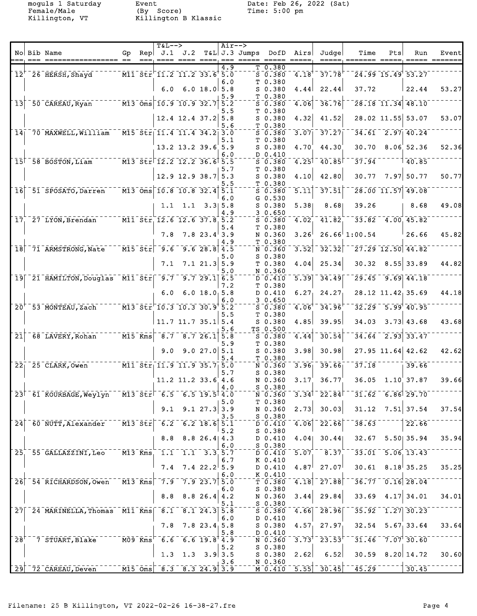Female/Male (By Score) Time: 5:00 pm Killington, VT Killington B Klassic

moguls 1 Saturday bit between Event Date: Feb 26, 2022 (Sat)

|                      |                                                                                                                                                           |    | <b>T&amp;L--&gt;</b>                                                    |                                                                                                           |                | Air-->     |                 |                                                              |                     |                                                                        |                             |                            |                                              |       |
|----------------------|-----------------------------------------------------------------------------------------------------------------------------------------------------------|----|-------------------------------------------------------------------------|-----------------------------------------------------------------------------------------------------------|----------------|------------|-----------------|--------------------------------------------------------------|---------------------|------------------------------------------------------------------------|-----------------------------|----------------------------|----------------------------------------------|-------|
|                      | No Bib Name                                                                                                                                               | Gp | Rep   J.1                                                               | J.2                                                                                                       |                |            | $T&L$ J.3 Jumps | DofD                                                         | Airs                | Judge                                                                  | Time                        | Pts                        | Run                                          | Event |
|                      | $12+$ $26$ $HERSH$ , $Shayd$<br>$\overline{111}$ $\overline{511}$ $\overline{511}$ $\overline{11.2}$ $\overline{11.2}$ $\overline{33.6}$ $\overline{5.0}$ |    |                                                                         |                                                                                                           |                | 4.9        |                 | T 0.380<br>$\bar{s}$ $\bar{0}$ $\bar{s}$ $\bar{s}$ $\bar{0}$ | $^{-1}$ . $18^{+}$  | $37.78$ <sup>T</sup>                                                   |                             | $24.99$ 15.49 53.27        |                                              |       |
|                      |                                                                                                                                                           |    | 6.0                                                                     |                                                                                                           | 6.0 18.0 5.8   | 6.0        |                 | T 0.380<br>$S$ 0.380                                         | 4.44                | 22.44                                                                  | 37.72                       |                            | 22.44                                        | 53.27 |
|                      | $13^{+50}$ CAREAU, Ryan $13^{0}$ Oms 10.9 10.9 32.7                                                                                                       |    |                                                                         |                                                                                                           |                | 5.9<br>5.2 |                 | T 0.380<br>$S$ 0.380<br>T 0.380                              | 4.06                | 36.76                                                                  |                             | $\sqrt{28.18}$ 11.34 48.10 |                                              |       |
|                      |                                                                                                                                                           |    |                                                                         | $12.4$ 12.4 37.2 5.8                                                                                      |                | 5.5<br>5.6 |                 | $S$ 0.380<br>T 0.380                                         | 4.32                | 41.52                                                                  |                             |                            | 28.02 11.55 53.07                            | 53.07 |
|                      | $14$ <sup>-70</sup> MAXWELL, William                                                                                                                      |    |                                                                         | $\overline{M15}$ $\overline{5}$ tr $\overline{11.4}$ $\overline{11.4}$ $\overline{34.2}$ $\overline{3.0}$ |                | 5.1        |                 | $5 - 0.380$<br>T 0.380                                       | 3.07                | 37.27                                                                  |                             |                            | $34.61$ $2.97$ $40.24$                       |       |
|                      |                                                                                                                                                           |    |                                                                         | $13.2$ $13.2$ $39.6$ 5.9                                                                                  |                | 6.0        |                 | $S$ 0.380<br>D 0.410                                         | 4.70                | 44.30                                                                  | 30.70                       |                            | 8.06; 52.36                                  | 52.36 |
|                      | $15$ <sup><math>-58</math></sup> BOSTON, Liam                                                                                                             |    |                                                                         | $ \overline{M13}$ $\overline{51x}$ $\overline{12.2}$ $\overline{12.2}$ $\overline{36.6}$ $\overline{5.5}$ |                | 5.7        |                 | $S$ 0.380<br>T 0.380                                         | $4.25$ <sup>T</sup> | 40.85                                                                  | 37.94                       |                            | 140.85                                       |       |
|                      |                                                                                                                                                           |    |                                                                         | 12.9 12.9 38.7                                                                                            |                | 5.3<br>5.5 |                 | $S$ 0.380<br>T 0.380                                         | 4.10                | 42.80                                                                  | 30.77                       |                            | $7.97$ 50.77                                 | 50.77 |
|                      | 16 51 SPOSATO, Darren                                                                                                                                     |    |                                                                         | $\overline{M13}$ Oms 10.8 10.8 32.4                                                                       |                | 5.1<br>6.0 |                 | $S$ 0.380<br>G 0.530                                         | 5.11                | 37.51                                                                  |                             |                            | $\sqrt{28.00}$ 11.57 49.08                   |       |
|                      |                                                                                                                                                           |    |                                                                         | $1.1 \quad 1.1 \quad 3.3 \, 5.8$                                                                          |                | 4.9        |                 | S 0.380<br>30.650                                            | 5.38                | 8.68                                                                   | 39.26                       |                            | 8.68                                         | 49.08 |
|                      | 17 27 LYON, Brendan M11 Str 12.6 12.6 37.8 5.2                                                                                                            |    |                                                                         |                                                                                                           |                | 5.4        |                 | $5 - 0.380$<br>T 0.380                                       | 4.02                | 41.82                                                                  |                             |                            | $33.82$ 4.00 45.82                           |       |
|                      |                                                                                                                                                           |    | 7.8                                                                     |                                                                                                           | $7.8$ 23.4 3.9 | 4.9        |                 | N 0.360<br>T 0.380                                           | 3.26                |                                                                        | $26.66$ <sup>1</sup> :00.54 |                            | 26.66                                        | 45.82 |
|                      | 18 71 ARMSTRONG, Nate M15 Str                                                                                                                             |    | $-9.6$                                                                  | $-9.628.874.5$                                                                                            |                | 5.0        |                 | N 0.360<br>$S$ 0.380                                         | $\overline{3.52}$   | $\overline{3}\overline{2}\overline{.}\overline{3}\overline{2}$         |                             |                            | $\sqrt{27.29}$ $\sqrt{12.50}$ $\sqrt{44.82}$ |       |
|                      |                                                                                                                                                           |    | 7.1                                                                     |                                                                                                           | $7.1$ 21.3 5.9 | 5.0        |                 | T 0.380<br>N 0.360                                           | 4.04                | 25.34                                                                  | 30.32                       |                            | $8.55$ 33.89                                 | 44.82 |
|                      | 19 21 HAMILTON, Douglas M11 Str 9.7 9.7 29.1 6.5                                                                                                          |    |                                                                         |                                                                                                           |                | 7.2        |                 | $D \ 0.410$<br>T 0.380                                       | 5.39                | 34.49                                                                  |                             |                            | $\sqrt{29.45}$ $\sqrt{9.69}$ $\sqrt{44.18}$  |       |
|                      |                                                                                                                                                           |    | 6.0                                                                     |                                                                                                           | $6.0$ 18.0 5.8 | 6.0        |                 | D 0.410<br>30.650                                            | $6.27_1$            | 24.27                                                                  |                             |                            | 28.12 11.42 35.69                            | 44.18 |
|                      | 20 <sup>+</sup> 53 MONTEAU, Zach M13 Str 10.3 10.3 30.9 5.2                                                                                               |    |                                                                         |                                                                                                           |                | 5.5        |                 | $S$ 0.380<br>T 0.380                                         | 4.06                | 34.96                                                                  |                             |                            | $32.29 - 5.99$ 40.95                         |       |
| $\bar{2}\bar{1}$     | $68$ LAVERY, Rohan <sup>-----</sup> M15 $\overline{Kms}$                                                                                                  |    |                                                                         | $11.7$ 11.7 35.1 5.4<br>$-8.7 - 8.7 - 26.1$ 5.8                                                           |                | 5.6        |                 | S 0.380<br>TS 0.500                                          | 4.85<br>4.44        | 39.95<br>30.54                                                         | 34.03                       |                            | $3.73$ 43.68<br>$34.64 - 2.93$ 33.47         | 43.68 |
|                      |                                                                                                                                                           |    | 9.0                                                                     |                                                                                                           | 9.027.05.1     | 5.9        |                 | $S$ 0.380<br>T 0.380<br>$S$ 0.380                            | 3.98                | 30.98                                                                  |                             |                            | $27.95$ 11.64 42.62                          | 42.62 |
|                      | 22 <sub>1</sub> 25 CLARK, Owen M11 Str <sub>1</sub> 11.9 11.9 35.7 <sub>1</sub> 5.0                                                                       |    |                                                                         |                                                                                                           |                | 5.4        |                 | T 0.380<br>N 0.360                                           | 3.96                | 39.66                                                                  | 37.18                       |                            | 39.66                                        |       |
|                      |                                                                                                                                                           |    |                                                                         | $11.2$ 11.2 33.6 4.6                                                                                      |                | 5.7        |                 | $S$ 0.380<br>N 0.360                                         | 3.17                | 36.77                                                                  |                             |                            | $36.05 \quad 1.10 \quad 37.87$               | 39.66 |
|                      | 23 61 KOURBAGE, Weylyn M13 Str 6.5 6.5 19.5 4.0                                                                                                           |    |                                                                         |                                                                                                           |                | 4.0        |                 | $S_0$ .380<br>N 0.360                                        |                     | $3.34$ <sup>-</sup> $22.84$ <sup>--</sup>                              |                             |                            | $\sqrt{31.62}$ 6.86 29.70                    |       |
|                      |                                                                                                                                                           |    | 9.1                                                                     |                                                                                                           | 9.127.333.9    | 5.0        |                 | T 0.380<br>N 0.360                                           | 2.73                | 30.03                                                                  |                             |                            | $31.12$ $7.51$ 37.54                         | 37.54 |
|                      | 24 60 NUTT, Alexander M13 Str 6.2 6.2 18.6 5.1                                                                                                            |    |                                                                         |                                                                                                           |                | 3.5        |                 | $S$ 0.380                                                    |                     | $\overline{D}$ $\overline{0.410}$ $\overline{4.06}$ $\overline{22.66}$ |                             |                            | 22.66                                        |       |
|                      |                                                                                                                                                           |    | 8.8                                                                     |                                                                                                           | $8.8$ 26.4 4.3 | 5.2        |                 | S 0.380<br>D 0.410                                           | 4.04                | 30.44                                                                  | 32.67                       |                            | $5.50$ 35.94                                 | 35.94 |
|                      | 25 55 GALLAZZINI, Leo                                                                                                                                     |    |                                                                         | $\overline{M13}$ Kms 1.1 1.1 3.3 5.7                                                                      |                | 6.0        |                 | S 0.380<br>D 0.410                                           | 5.07                | 8.37                                                                   |                             |                            | $33.01$ $5.06$ 13.43                         |       |
|                      |                                                                                                                                                           |    |                                                                         | $7.4$ 7.4 22.2 5.9                                                                                        |                | 6.7        |                 | K 0.410<br>D 0.410                                           | 4.87 <sup>1</sup>   | 27.07                                                                  |                             |                            | $30.61$ $8.18$ 35.25                         | 35.25 |
|                      | 26 54 RICHARDSON, Owen M13 Kms 7.9 7.9 23.7 5.0                                                                                                           |    |                                                                         |                                                                                                           |                | 6.0        |                 | K 0.410<br>$\bar{\tau}$ $\bar{0}$ .380                       |                     | $\overline{4.18}$ $\overline{27.88}$                                   |                             |                            | $36.77 - 0.16$ 28.04                         |       |
|                      |                                                                                                                                                           |    |                                                                         | $8.8$ $8.8$ 26.4 4.2                                                                                      |                | 6.0        |                 | $S$ 0.380<br>N 0.360                                         | 3.44                | 29.84                                                                  |                             |                            | $33.69$ 4.17 34.01                           | 34.01 |
|                      | 27 24.3 5.8                                                                                                                                               |    |                                                                         |                                                                                                           |                | 5.1        |                 | $S_0.380$<br>S 0.380                                         |                     | $\sqrt{4.66}$ $\sqrt{28.96}$                                           |                             |                            | $35.92 - 1.27$ 30.23                         |       |
|                      |                                                                                                                                                           |    | 7.8                                                                     |                                                                                                           | $7.8$ 23.4 5.8 | 6.0        |                 | D 0.410<br>S 0.380                                           |                     | $4.57$ , 27.97,                                                        |                             |                            | $32.54$ $5.67$ 33.64                         | 33.64 |
| $\bar{2}8^{\dagger}$ | $\sqrt{7}$ STUART, Blake                                                                                                                                  |    | $ \bar{M09}$ $\bar{K}$ ms <sup><math>+</math></sup> $\bar{6}$ $\bar{6}$ | $-6.6$ 19.8 <sup>†</sup> 4.9                                                                              |                | 5.8        |                 | D 0.410<br>N 0.360                                           |                     | $\overline{3.73}^{\dagger}$ $\overline{23.53}^{\dagger}$               |                             |                            | $31.46 - 7.07$ 30.60                         |       |
|                      |                                                                                                                                                           |    |                                                                         | 1.3 1.3 3.9 3.5                                                                                           |                | 5.2<br>3.6 |                 | S 0.380<br>S 0.380<br>N 0.360                                | 2.62                | 6.52                                                                   |                             |                            | $30.59$ $8.20 14.72$                         | 30.60 |
|                      | $\sqrt{29}$ $\sqrt{72}$ $\sqrt{C \text{AREAU}}$ , Deven                                                                                                   |    |                                                                         | $\overline{M15\ \text{Oms}}\ \overline{8.3\ \text{S}}\ \overline{3.24.9} \ \overline{3.9}$                |                |            |                 |                                                              |                     | $\sqrt{M}$ 0.410 $\sqrt{5.55}$ 30.45                                   |                             | $\frac{1}{45.29}$ ------   | 30.45                                        |       |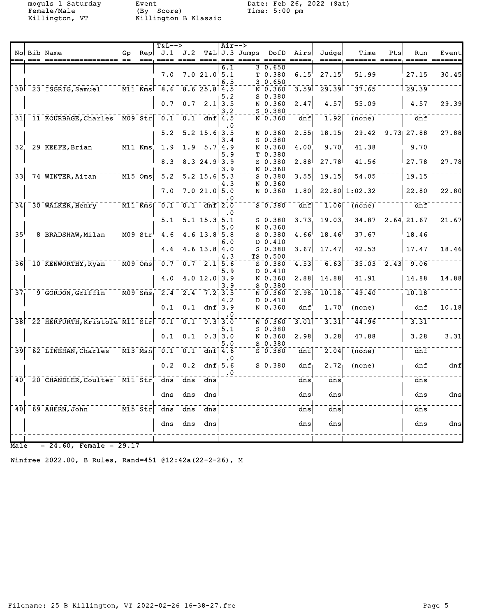moguls 1 Saturday Event Date: Feb 26, 2022 (Sat) Female/Male (By Score) Time: 5:00 pm Killington, VT Killington B Klassic

|                 |                                                   |                           |                                                                                                                                                                                                                                                                                        | $T&L-->$                                    |             |                                                    | $Air--$                 |                                                                                            |                  |              |               |                |              |       |
|-----------------|---------------------------------------------------|---------------------------|----------------------------------------------------------------------------------------------------------------------------------------------------------------------------------------------------------------------------------------------------------------------------------------|---------------------------------------------|-------------|----------------------------------------------------|-------------------------|--------------------------------------------------------------------------------------------|------------------|--------------|---------------|----------------|--------------|-------|
|                 | No Bib Name                                       | Gp                        | Rep                                                                                                                                                                                                                                                                                    |                                             | $J.1$ $J.2$ |                                                    |                         | T&L J.3 Jumps DofD Airs                                                                    |                  | Judge        | Time          | Pts            | Run          | Event |
|                 |                                                   |                           |                                                                                                                                                                                                                                                                                        | 7.0                                         |             | 7.021.05.1                                         | 6.1                     | 3 0.650<br>T 0.380                                                                         | 6.15             | 27.15        | 51.99         |                | 27.15        | 30.45 |
|                 | 30 23 ISGRIG, Samuel M11 Kms                      |                           |                                                                                                                                                                                                                                                                                        | 8.6                                         |             | $8.6$ 25.8 4.5                                     | 6.5                     | 30.650<br>N 0.360                                                                          | 3.59             | 29.39        | 37.65         |                | 29.39        |       |
|                 |                                                   |                           |                                                                                                                                                                                                                                                                                        | 0.7                                         | 0.7         |                                                    | 5.2<br>$2.1$ 3.5<br>3.2 | $S$ 0.380<br>N 0.360<br>$S$ 0.380                                                          | 2.47             | 4.57         | 55.09         |                | 4.57         | 29.39 |
|                 | 31 11 KOURBAGE, Charles M09 Str                   |                           |                                                                                                                                                                                                                                                                                        | 0.1                                         |             | $0.1$ dnf $4.5$                                    | . 0                     | N 0.360                                                                                    | dnf              | 1.92         | (none)        |                | dnf          |       |
|                 |                                                   |                           |                                                                                                                                                                                                                                                                                        | 5.2                                         |             | $5.2$ 15.6 3.5                                     | 3.4                     | N 0.360<br>$S$ 0.380                                                                       | 2.551            | 18.15        | 29.42         |                | $9.73$ 27.88 | 27.88 |
| 32 <sup>2</sup> | 29 KEEFE, Brian M11 Kms                           |                           |                                                                                                                                                                                                                                                                                        | $\overline{1.9}$                            |             | $1.9 - 5.7 + 4.9$                                  | 5.9                     | $N = 0.360$<br>T <sub>0.380</sub>                                                          | 4.00             | 9.70         | 41.38         |                | 9.70         |       |
|                 |                                                   |                           |                                                                                                                                                                                                                                                                                        | 8.3                                         |             | 8.324.93.9                                         | 3.9                     | $S$ 0.380<br>N 0.360                                                                       | 2.88             | 27.78        | 41.56         |                | 27.78        | 27.78 |
|                 | $33$ 74 WINTER, Aitan                             |                           | $ \overline{M15}$ $\overline{Oms}$                                                                                                                                                                                                                                                     | 5.2                                         |             | $5.2$ 15.6 5.3                                     | 4.3                     | $5 - 0.380$<br>N 0.360                                                                     | 3.55             | 19.15        | 54.05         |                | 19.15        |       |
|                 |                                                   |                           |                                                                                                                                                                                                                                                                                        | 7.0                                         |             | 7.021.05.0                                         | . 0                     | N 0.360                                                                                    | 1.80             |              | 22.80 1:02.32 |                | 22.80        | 22.80 |
|                 | 34 30 WALKER, Henry                               |                           | $\overline{M11}$ Kms                                                                                                                                                                                                                                                                   | $\overline{0.1}$                            |             | $0.1$ dnf $2.0$                                    | . 0                     | $S$ 0.380                                                                                  | dnf              | 1.06         | (none)        |                | dnf          |       |
|                 |                                                   |                           |                                                                                                                                                                                                                                                                                        | 5.1                                         |             | $5.1$ 15.3.5.1                                     | 5.0                     | $S$ 0.380<br>N 0.360                                                                       | 3.73             | 19.03        | 34.87         |                | 2.64, 21.67  | 21.67 |
| $35^{\dagger}$  | 8 BRADSHAW, Milan                                 |                           | $\overline{\texttt{M09}}$ str $\overline{\texttt{F}}$                                                                                                                                                                                                                                  | $-4.6$                                      |             | $4.6$ $13.8$ $5.8$                                 | 6.0                     | $S$ 0.380<br>D 0.410                                                                       | $4.66^{\dagger}$ | 18.46        | 37.67         |                | 18.46        |       |
|                 |                                                   |                           |                                                                                                                                                                                                                                                                                        | 4.6                                         |             | 4.6 $13.8$ 4.0                                     | 4.3                     | $S$ 0.380<br>TS 0.500                                                                      | 3.67             | 17.47        | 42.53         |                | 17.47        | 18.46 |
| $\bar{36}$      | $^{-1}$ $\bar{1}$ Ō $^{-}$ KENWORTHY, Ryan $^{-}$ | $\bar{M}$ 09 $\bar{O}$ ms |                                                                                                                                                                                                                                                                                        | $\bar{\mathfrak{o}}$ . $\bar{\mathfrak{c}}$ |             | $\overline{0.7}$ $\overline{2.1}$ $\overline{5.6}$ | 5.9                     | $\bar{\mathbf{s}}$ $\bar{\mathbf{0}}$ , $\bar{\mathbf{s}}$ $\bar{\mathbf{0}}$<br>$D_0.410$ | 4.53             | 6.63         |               | $35.03 - 2.43$ | $-9.06$      |       |
|                 |                                                   |                           |                                                                                                                                                                                                                                                                                        | 4.0                                         |             | $4.0$ 12.0 3.9                                     | 3.9                     | N 0.360<br>$S$ 0.380                                                                       | 2.88             | 14.88        | 41.91         |                | 14.88        | 14.88 |
| $\overline{37}$ | 9 GORDON, Griffin                                 |                           | $M09$ Sms                                                                                                                                                                                                                                                                              | $\overline{2.4}$                            |             | $2.4$ $7.2$ 3.5                                    | 4.2                     | N 0.360<br>D 0.410                                                                         | 2.98             | 10.18        | 49.40         |                | 10.18        |       |
|                 |                                                   |                           |                                                                                                                                                                                                                                                                                        | 0.1                                         |             | $0.1$ dnf $3.9$                                    |                         | N 0.360                                                                                    | dnf              | 1.70         | (none)        |                | dnf          | 10.18 |
|                 | 38 22 HERFURTH, Kristofe M11 Str 0.1 0.1 0.3 3.0  |                           |                                                                                                                                                                                                                                                                                        |                                             |             |                                                    |                         | N 0.360                                                                                    | 3.01             | 3.31         | 44.96         |                | 3.31         |       |
|                 |                                                   |                           |                                                                                                                                                                                                                                                                                        | 0.1                                         | 0.1         |                                                    | 5.1<br>$0.3$ 3.0<br>5.0 | $S_0.380$<br>N 0.360<br>$S_0.380$                                                          | 2.98             | 3.28         | 47.88         |                | 3.28         | 3.31  |
|                 | 39 62 LINEHAN, Charles                            |                           | $\bar{m}$ $\bar{m}$ $\bar{m}$ $\bar{m}$ $\bar{m}$ $\bar{m}$ $\bar{m}$ $\bar{m}$ $\bar{m}$ $\bar{m}$ $\bar{m}$ $\bar{m}$ $\bar{m}$ $\bar{m}$ $\bar{m}$ $\bar{m}$ $\bar{m}$ $\bar{m}$ $\bar{m}$ $\bar{m}$ $\bar{m}$ $\bar{m}$ $\bar{m}$ $\bar{m}$ $\bar{m}$ $\bar{m}$ $\bar{m}$ $\bar{m$ | $\overline{0.1}$                            | 0.1         |                                                    | dnf $4.6$<br>$\cdot$ 0  | $S$ 0.380                                                                                  | dnf              | 2.04         | (none)        |                | dnf          |       |
|                 |                                                   |                           |                                                                                                                                                                                                                                                                                        | 0.2                                         | 0.2         |                                                    | dnf $5.6$<br>$\cdot$ 0  | $S_0.380$                                                                                  | dnf              | 2.72         | (none)        |                | dnf          | dnf   |
| 40 <sup>7</sup> | 20 CHANDLER, Coulter M11 Str                      |                           |                                                                                                                                                                                                                                                                                        | $\overline{d}$ ns                           | dns         | dns                                                |                         |                                                                                            | dns              | $\bar{d}$ ns |               |                | dns          |       |
|                 |                                                   |                           |                                                                                                                                                                                                                                                                                        | dns                                         | dns         | dns                                                |                         |                                                                                            | dns              | dns          |               |                | dns          | dns   |
| 40              | 69 AHERN, John                                    |                           | M15 Str                                                                                                                                                                                                                                                                                | dns                                         | dns         | dns                                                |                         |                                                                                            | dns              | dns          |               |                | dns          |       |
|                 |                                                   |                           |                                                                                                                                                                                                                                                                                        | dns                                         | dns         | dns                                                |                         |                                                                                            | dns              | dns          |               |                | dns          | dns   |
|                 |                                                   |                           |                                                                                                                                                                                                                                                                                        |                                             |             |                                                    |                         |                                                                                            |                  |              |               |                |              |       |

 $\overline{\text{Male}} = 24.60$ , Female = 29.17

Winfree 2022.00, B Rules, Rand=451 @12:42a(22-2-26), M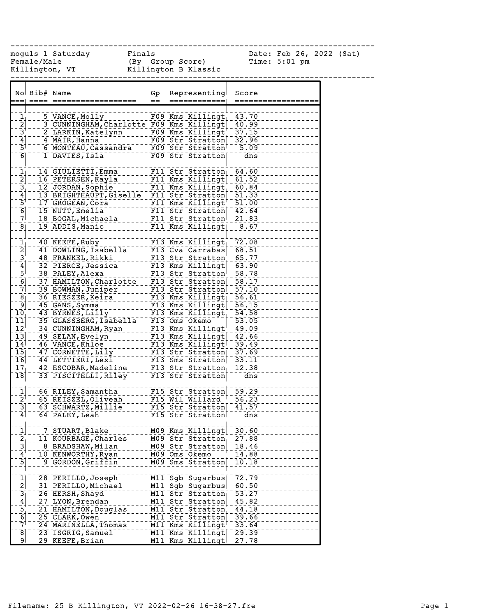------------------------------------------------------------------------------

moguls 1 Saturday Finals Date: Feb 26, 2022 (Sat)

Female/Male (By Group Score) Time: 5:01 pm Killington, VT Killington B Klassic

|                                                         | No Bib# Name |                                                               | Gp<br>$=$ | Representing                    | Score                       |
|---------------------------------------------------------|--------------|---------------------------------------------------------------|-----------|---------------------------------|-----------------------------|
|                                                         |              |                                                               |           |                                 |                             |
| $\frac{1}{2}$ $\frac{1}{3}$ $\frac{1}{4}$ $\frac{1}{5}$ |              | 5 VANCE, Molly                                                |           | $F09$ Kms Killingt              | 43.70                       |
|                                                         |              | 3 CUNNINGHAM, Charlotte F09 Kms Killingt                      |           |                                 | 40.99                       |
|                                                         |              | 2 LARKIN, Katelynn 199 Kms Killingt                           |           |                                 | 37.15                       |
|                                                         |              | 4 MAIR, Hanna - - - - - - - - - FO9 Str Stratton              |           |                                 | $-32.96$                    |
|                                                         |              | 6 MONTEAU, Cassandra - - FO9 Str Stratton                     |           |                                 | $-5.09$                     |
| $\overline{6}$                                          |              | 1 DAVIES, Isla                                                |           | $F09$ Str Stratton              | $-1$ $\frac{1}{\text{dns}}$ |
|                                                         |              |                                                               |           |                                 |                             |
| $\overline{1}$                                          |              | 14 GIULIETTI, Emma                                            |           | $FI1$ Str Stratton $64.60$      |                             |
| $\overline{2}$                                          |              | 16 PETERSEN, Kayla                                            |           | F11 Kms Killingt                | 61.52                       |
| $\begin{bmatrix} 3 \\ 4 \end{bmatrix}$                  |              | 12 JORDAN, Sophie                                             |           | F11 Kms Killingt                | 60.84                       |
|                                                         |              | 12 JORDAN, SOPHIE<br>13 BRIGHTHAUPT, Giselle F11 Str Stratton |           |                                 | $\overline{51.33}$          |
| $\frac{1}{2}$<br>$\frac{1}{2}$                          |              | 17 GROGEAN, Cora                                              |           | F11 Kms Killingt $^\dagger$     | Ξ<br>51.00                  |
|                                                         |              | 15 NUTT, Emelia                                               |           | F11 Str Stratton 42.64          |                             |
|                                                         |              | 18 BOGAL, Michaela                                            |           | F11 Str Stratton                | $\frac{1}{21.83}$           |
| $\overline{8}$                                          |              | 19 ADDIS, Manic                                               |           | F11 Kms Killingt                | $-8.67$                     |
|                                                         |              |                                                               |           |                                 |                             |
| $\frac{1}{2}$                                           |              | 40 KEEFE, Ruby                                                |           | $F13$ Kms Killingt              | 72.08                       |
|                                                         |              | 41 DOWLING, Isabella                                          |           | $F13$ Cva Carrabas              | 68.51                       |
|                                                         |              | 48 FRANKEL, Rikki                                             |           | $F13$ Str Stratton              | 65.77                       |
|                                                         |              | 32 PIERCE, Jessica                                            |           | $F13$ Kms $K111$ ingt           | 63.90                       |
| $\frac{3}{4}$ $\frac{4}{5}$ $\frac{1}{6}$               |              | 38 PALEY, Alexa                                               |           | F13 Str Stratton                | 58.78                       |
|                                                         |              | 37 HAMILTON, Charlotte                                        |           | F13 Str Stratton                | 58.17                       |
| $\bar{7}$                                               |              | 39 BOWMAN, Juniper                                            |           | $F13$ Str Stratton              | 57.10                       |
| $\frac{8}{9}$                                           |              | 36 RIESZER, Keira                                             |           | F13 Kms Killingt                | $-56.61$                    |
|                                                         |              | 45 GANS, Symma                                                |           | F13 Kms Killingt                | 56.15                       |
| 10 <sub>1</sub>                                         |              | 43 BYRNES, LIIIy                                              |           | $F13$ Kms Killingt              | 54.58                       |
| $\overline{1}\overline{1}$                              |              | 35 GLASSBERG, Isabella                                        |           | F13 Oms Okemo                   | 53.05                       |
| $\overline{1}\overline{2}^{\dagger}$                    |              | 34 CUNNINGHAM, Ryan                                           |           | $F13$ Kms Killingt <sup>+</sup> | 49.09                       |
| $\overline{13}$                                         |              | 49 SELAN, Evelyn                                              |           | F13 Kms Killingt                | 42.66                       |
| $14$ <sup>1</sup>                                       |              | 46 VANCE, Khloe                                               |           | F13 Kms Killingt                | $-39.49$<br>$-37.69$        |
| $\overline{15}$                                         |              | 47 CORNETTE, Lily                                             |           | $F13$ Str Stratton              |                             |
| $\bar{1}\bar{6}$                                        |              | 44 LETTIERI, Lexi                                             |           | F13 Sms Stratton                | $-33.11$                    |
| $17_1$                                                  |              | 42 ESCOBAR, Madeline                                          |           | $F13$ Str Stratton              | 12.38                       |
| $\overline{18}$                                         |              | 33 PISCITELLI, Riley                                          |           | F13 Str Stratton                | $\frac{1}{\text{dns}}$      |
| $\overline{1}$                                          |              |                                                               |           | F15 Str Stratton 59.29          |                             |
| $\bar{2}^{\dagger}$                                     |              | 66 RILEY, Samantha                                            |           | $F15$ Wil Willard <sup>-†</sup> | $\overline{56.23}$          |
| $\overline{3}$                                          |              | 65 REISZEL, Oliveah<br>63 SCHWARTZ, Millie                    |           | F15 Str Stratton                | 41.57                       |
| $\mathbf{4}$                                            |              | 64 PALEY, Leah                                                |           | F15 Str Stratton                | dns                         |
|                                                         |              |                                                               |           |                                 |                             |
|                                                         |              | 7 STUART, Blake                                               |           | M09 Kms Killingt                | 30.60                       |
| $\frac{1}{2}$                                           |              | 11 KOURBAGE, Charles                                          |           | M09 Str Stratton                | 27.88                       |
| $\overline{3}$                                          |              | 8 BRADSHAW, Milan                                             |           | M09 Str Stratton                | 18.46                       |
| $\overline{4}$                                          |              | 10 KENWORTHY, Ryan                                            |           | M09 Oms Okemo                   | 14.88                       |
| $\overline{5}$                                          |              | 9 GORDON, Griffin                                             |           | M09 Sms Stratton                | 10.18                       |
|                                                         |              |                                                               |           |                                 |                             |
| $\overline{1}$                                          |              | 28 PERILLO, Joseph                                            |           | M11 Sgb Sugarbus                | 72.79                       |
| $\overline{2}$                                          |              | 31 PERILLO, Michael                                           |           | M11 Sgb Sugarbus                | 60.50                       |
| $\overline{3}$                                          |              | 26 HERSH, Shayd                                               |           | M11 Str Stratton                | 53.27                       |
| $\mathbf{4}$                                            |              | 27 LYON, Brendan                                              |           | M11 Str Stratton                | 45.82                       |
|                                                         |              | 21 HAMILTON, Douglas                                          |           | M11 Str Stratton                | 44.18                       |
| $\frac{5}{6}$                                           |              | 25 CLARK, Owen                                                |           | M11 Str Stratton                | 39.66                       |
| 71                                                      |              | 24 MARINELLA, Thomas                                          |           | M11 Kms Killingt                | 33.64                       |
| 8                                                       |              | 23 ISGRIG, Samuel                                             |           | M11 Kms Killingt                | 29.39                       |
| او                                                      |              | 29 KEEFE, Brian                                               |           | M11 Kms Killingt                | 27.78                       |
|                                                         |              |                                                               |           |                                 |                             |